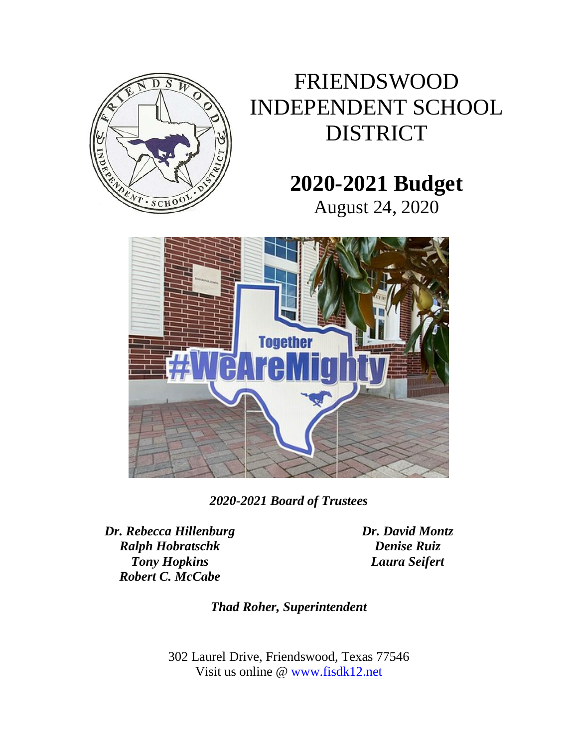

## FRIENDSWOOD INDEPENDENT SCHOOL DISTRICT

## **2020-2021 Budget**

August 24, 2020



*2020-2021 Board of Trustees*

*Dr. Rebecca Hillenburg Ralph Hobratschk Tony Hopkins Robert C. McCabe*

*Dr. David Montz Denise Ruiz Laura Seifert*

*Thad Roher, Superintendent*

302 Laurel Drive, Friendswood, Texas 77546 Visit us online @ [www.fisdk12.net](http://www.fisdk12.net/)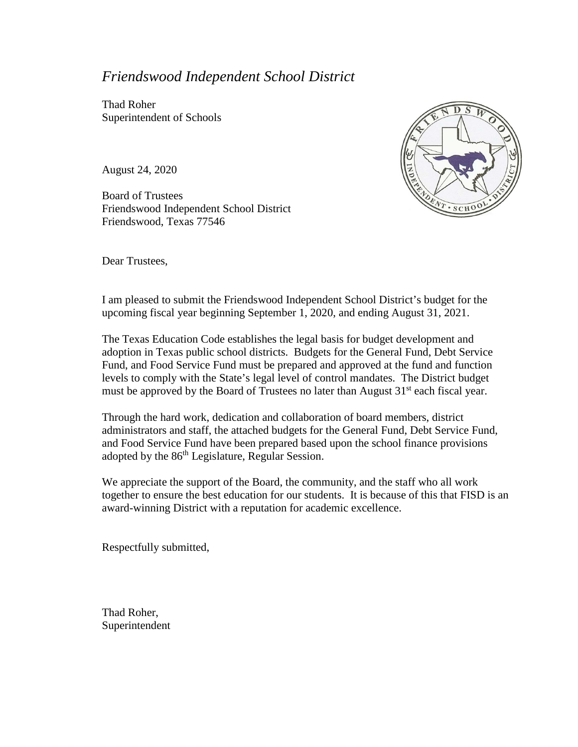### *Friendswood Independent School District*

Thad Roher Superintendent of Schools

August 24, 2020

Board of Trustees Friendswood Independent School District Friendswood, Texas 77546



Dear Trustees,

I am pleased to submit the Friendswood Independent School District's budget for the upcoming fiscal year beginning September 1, 2020, and ending August 31, 2021.

The Texas Education Code establishes the legal basis for budget development and adoption in Texas public school districts. Budgets for the General Fund, Debt Service Fund, and Food Service Fund must be prepared and approved at the fund and function levels to comply with the State's legal level of control mandates. The District budget must be approved by the Board of Trustees no later than August  $31<sup>st</sup>$  each fiscal year.

Through the hard work, dedication and collaboration of board members, district administrators and staff, the attached budgets for the General Fund, Debt Service Fund, and Food Service Fund have been prepared based upon the school finance provisions adopted by the 86<sup>th</sup> Legislature, Regular Session.

We appreciate the support of the Board, the community, and the staff who all work together to ensure the best education for our students. It is because of this that FISD is an award-winning District with a reputation for academic excellence.

Respectfully submitted,

Thad Roher, Superintendent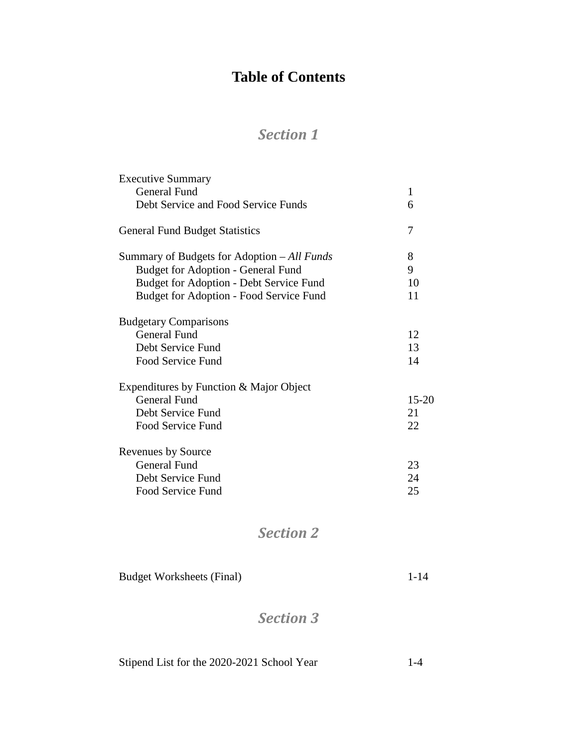## **Table of Contents**

### *Section 1*

| <b>Executive Summary</b>                    |              |
|---------------------------------------------|--------------|
| <b>General Fund</b>                         | $\mathbf{1}$ |
| Debt Service and Food Service Funds         | 6            |
| <b>General Fund Budget Statistics</b>       | 7            |
| Summary of Budgets for Adoption – All Funds | 8            |
| <b>Budget for Adoption - General Fund</b>   | 9            |
| Budget for Adoption - Debt Service Fund     | 10           |
| Budget for Adoption - Food Service Fund     | 11           |
| <b>Budgetary Comparisons</b>                |              |
| <b>General Fund</b>                         | 12           |
| Debt Service Fund                           | 13           |
| <b>Food Service Fund</b>                    | 14           |
| Expenditures by Function & Major Object     |              |
| <b>General Fund</b>                         | $15 - 20$    |
| Debt Service Fund                           | 21           |
| Food Service Fund                           | 22           |
| Revenues by Source                          |              |
| <b>General Fund</b>                         | 23           |
| Debt Service Fund                           | 24           |
| Food Service Fund                           | 25           |
|                                             |              |

### *Section 2*

Budget Worksheets (Final) 1-14

### *Section 3*

| Stipend List for the 2020-2021 School Year | $1 - 4$ |
|--------------------------------------------|---------|
|--------------------------------------------|---------|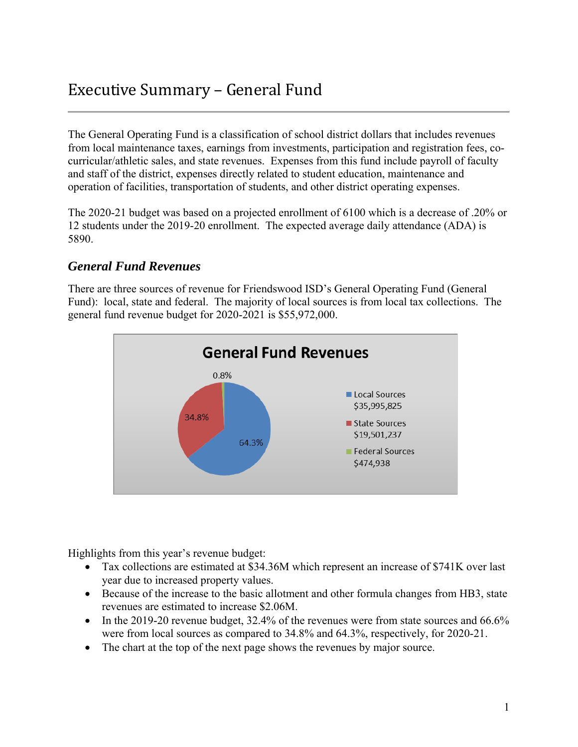## Executive Summary – General Fund

The General Operating Fund is a classification of school district dollars that includes revenues from local maintenance taxes, earnings from investments, participation and registration fees, cocurricular/athletic sales, and state revenues. Expenses from this fund include payroll of faculty and staff of the district, expenses directly related to student education, maintenance and operation of facilities, transportation of students, and other district operating expenses.

The 2020-21 budget was based on a projected enrollment of 6100 which is a decrease of .20% or 12 students under the 2019-20 enrollment. The expected average daily attendance (ADA) is 5890.

### *General Fund Revenues*

There are three sources of revenue for Friendswood ISD's General Operating Fund (General Fund): local, state and federal. The majority of local sources is from local tax collections. The general fund revenue budget for 2020-2021 is \$55,972,000.



Highlights from this year's revenue budget:

- Tax collections are estimated at \$34.36M which represent an increase of \$741K over last year due to increased property values.
- Because of the increase to the basic allotment and other formula changes from HB3, state revenues are estimated to increase \$2.06M.
- In the 2019-20 revenue budget,  $32.4\%$  of the revenues were from state sources and 66.6% were from local sources as compared to 34.8% and 64.3%, respectively, for 2020-21.
- The chart at the top of the next page shows the revenues by major source.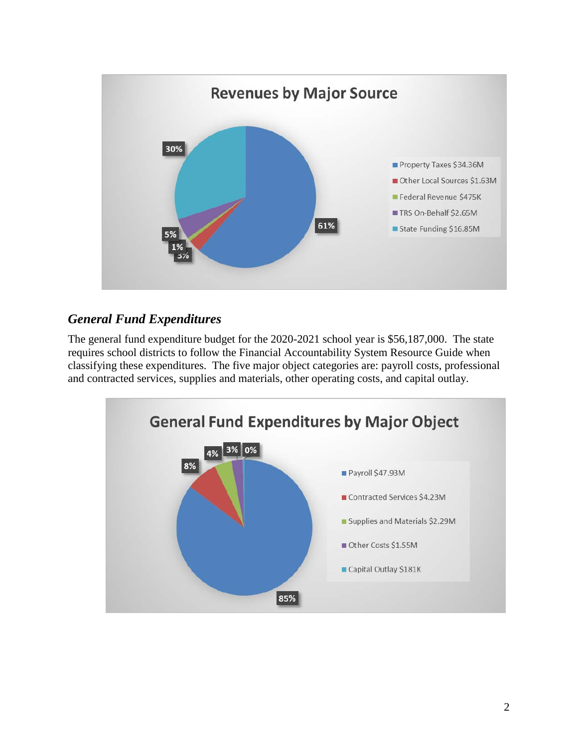

### *General Fund Expenditures*

The general fund expenditure budget for the 2020-2021 school year is \$56,187,000. The state requires school districts to follow the Financial Accountability System Resource Guide when classifying these expenditures. The five major object categories are: payroll costs, professional and contracted services, supplies and materials, other operating costs, and capital outlay.

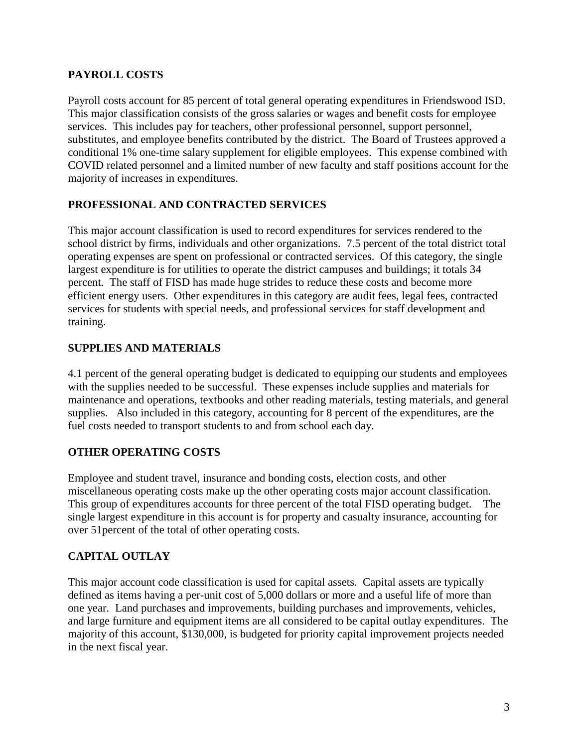### **PAYROLL COSTS**

Payroll costs account for 85 percent of total general operating expenditures in Friendswood ISD. This major classification consists of the gross salaries or wages and benefit costs for employee services. This includes pay for teachers, other professional personnel, support personnel, substitutes, and employee benefits contributed by the district. The Board of Trustees approved a conditional 1% one-time salary supplement for eligible employees. This expense combined with COVID related personnel and a limited number of new faculty and staff positions account for the majority of increases in expenditures.

### **PROFESSIONAL AND CONTRACTED SERVICES**

This major account classification is used to record expenditures for services rendered to the school district by firms, individuals and other organizations. 7.5 percent of the total district total operating expenses are spent on professional or contracted services. Of this category, the single largest expenditure is for utilities to operate the district campuses and buildings; it totals 34 percent. The staff of FISD has made huge strides to reduce these costs and become more efficient energy users. Other expenditures in this category are audit fees, legal fees, contracted services for students with special needs, and professional services for staff development and training.

### **SUPPLIES AND MATERIALS**

4.1 percent of the general operating budget is dedicated to equipping our students and employees with the supplies needed to be successful. These expenses include supplies and materials for maintenance and operations, textbooks and other reading materials, testing materials, and general supplies. Also included in this category, accounting for 8 percent of the expenditures, are the fuel costs needed to transport students to and from school each day.

### **OTHER OPERATING COSTS**

Employee and student travel, insurance and bonding costs, election costs, and other miscellaneous operating costs make up the other operating costs major account classification. This group of expenditures accounts for three percent of the total FISD operating budget. The single largest expenditure in this account is for property and casualty insurance, accounting for over 51percent of the total of other operating costs.

### **CAPITAL OUTLAY**

This major account code classification is used for capital assets. Capital assets are typically defined as items having a per-unit cost of 5,000 dollars or more and a useful life of more than one year. Land purchases and improvements, building purchases and improvements, vehicles, and large furniture and equipment items are all considered to be capital outlay expenditures. The majority of this account, \$130,000, is budgeted for priority capital improvement projects needed in the next fiscal year.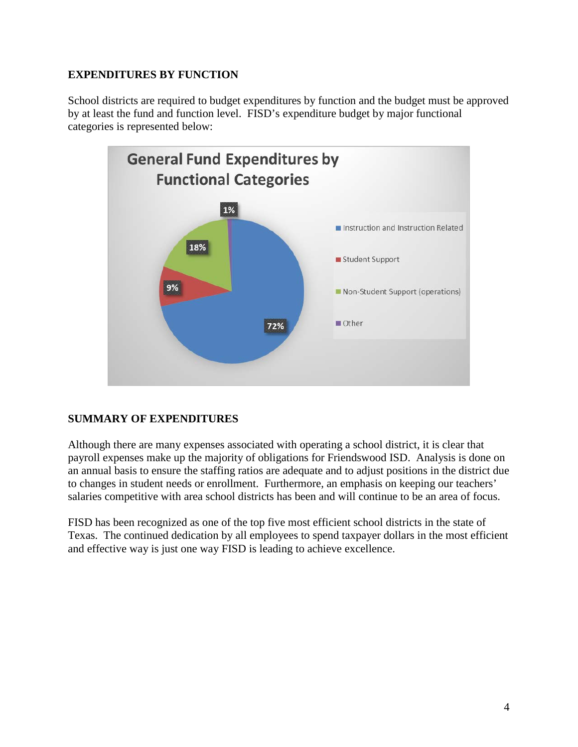### **EXPENDITURES BY FUNCTION**

School districts are required to budget expenditures by function and the budget must be approved by at least the fund and function level. FISD's expenditure budget by major functional categories is represented below:



### **SUMMARY OF EXPENDITURES**

Although there are many expenses associated with operating a school district, it is clear that payroll expenses make up the majority of obligations for Friendswood ISD. Analysis is done on an annual basis to ensure the staffing ratios are adequate and to adjust positions in the district due to changes in student needs or enrollment. Furthermore, an emphasis on keeping our teachers' salaries competitive with area school districts has been and will continue to be an area of focus.

FISD has been recognized as one of the top five most efficient school districts in the state of Texas. The continued dedication by all employees to spend taxpayer dollars in the most efficient and effective way is just one way FISD is leading to achieve excellence.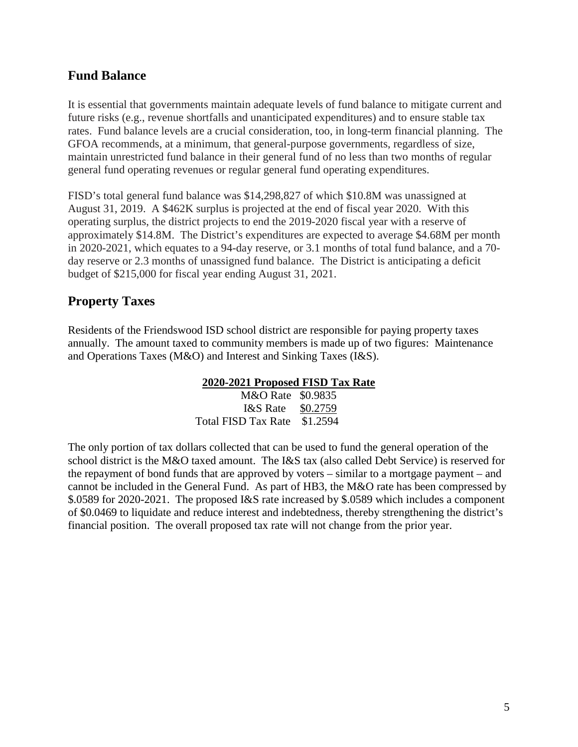### **Fund Balance**

It is essential that governments maintain adequate levels of fund balance to mitigate current and future risks (e.g., revenue shortfalls and unanticipated expenditures) and to ensure stable tax rates. Fund balance levels are a crucial consideration, too, in long-term financial planning. The GFOA recommends, at a minimum, that general-purpose governments, regardless of size, maintain unrestricted fund balance in their general fund of no less than two months of regular general fund operating revenues or regular general fund operating expenditures.

FISD's total general fund balance was \$14,298,827 of which \$10.8M was unassigned at August 31, 2019. A \$462K surplus is projected at the end of fiscal year 2020. With this operating surplus, the district projects to end the 2019-2020 fiscal year with a reserve of approximately \$14.8M. The District's expenditures are expected to average \$4.68M per month in 2020-2021, which equates to a 94-day reserve, or 3.1 months of total fund balance, and a 70 day reserve or 2.3 months of unassigned fund balance. The District is anticipating a deficit budget of \$215,000 for fiscal year ending August 31, 2021.

### **Property Taxes**

Residents of the Friendswood ISD school district are responsible for paying property taxes annually. The amount taxed to community members is made up of two figures: Maintenance and Operations Taxes (M&O) and Interest and Sinking Taxes (I&S).

#### **2020-2021 Proposed FISD Tax Rate**

M&O Rate \$0.9835 I&S Rate \$0.2759 Total FISD Tax Rate \$1.2594

The only portion of tax dollars collected that can be used to fund the general operation of the school district is the M&O taxed amount. The I&S tax (also called Debt Service) is reserved for the repayment of bond funds that are approved by voters – similar to a mortgage payment – and cannot be included in the General Fund. As part of HB3, the M&O rate has been compressed by \$.0589 for 2020-2021. The proposed I&S rate increased by \$.0589 which includes a component of \$0.0469 to liquidate and reduce interest and indebtedness, thereby strengthening the district's financial position. The overall proposed tax rate will not change from the prior year.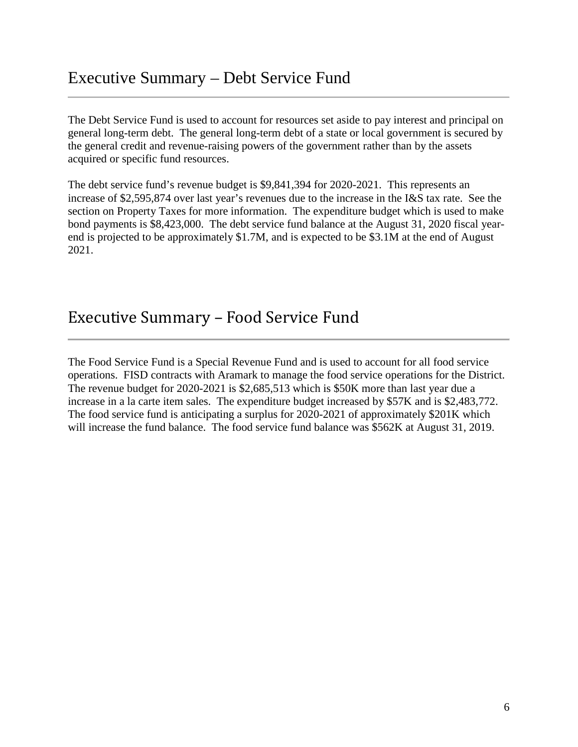### Executive Summary – Debt Service Fund

The Debt Service Fund is used to account for resources set aside to pay interest and principal on general long-term debt. The general long-term debt of a state or local government is secured by the general credit and revenue-raising powers of the government rather than by the assets acquired or specific fund resources.

The debt service fund's revenue budget is \$9,841,394 for 2020-2021. This represents an increase of \$2,595,874 over last year's revenues due to the increase in the I&S tax rate. See the section on Property Taxes for more information. The expenditure budget which is used to make bond payments is \$8,423,000. The debt service fund balance at the August 31, 2020 fiscal yearend is projected to be approximately \$1.7M, and is expected to be \$3.1M at the end of August 2021.

### Executive Summary – Food Service Fund

The Food Service Fund is a Special Revenue Fund and is used to account for all food service operations. FISD contracts with Aramark to manage the food service operations for the District. The revenue budget for 2020-2021 is \$2,685,513 which is \$50K more than last year due a increase in a la carte item sales. The expenditure budget increased by \$57K and is \$2,483,772. The food service fund is anticipating a surplus for 2020-2021 of approximately \$201K which will increase the fund balance. The food service fund balance was \$562K at August 31, 2019.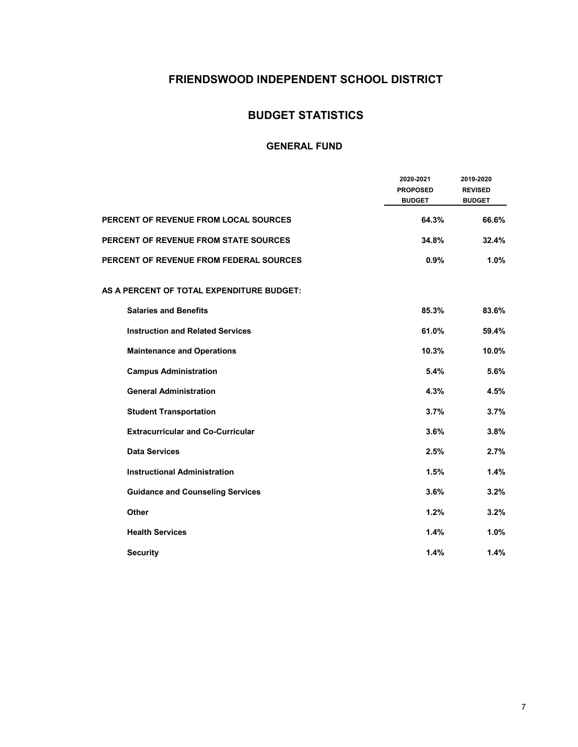### **FRIENDSWOOD INDEPENDENT SCHOOL DISTRICT**

### **BUDGET STATISTICS**

|                                              | 2020-2021<br><b>PROPOSED</b><br><b>BUDGET</b> | 2019-2020<br><b>REVISED</b><br><b>BUDGET</b> |
|----------------------------------------------|-----------------------------------------------|----------------------------------------------|
| <b>PERCENT OF REVENUE FROM LOCAL SOURCES</b> | 64.3%                                         | 66.6%                                        |
| <b>PERCENT OF REVENUE FROM STATE SOURCES</b> | 34.8%                                         | 32.4%                                        |
| PERCENT OF REVENUE FROM FEDERAL SOURCES      | 0.9%                                          | 1.0%                                         |
| AS A PERCENT OF TOTAL EXPENDITURE BUDGET:    |                                               |                                              |
| <b>Salaries and Benefits</b>                 | 85.3%                                         | 83.6%                                        |
| <b>Instruction and Related Services</b>      | 61.0%                                         | 59.4%                                        |
| <b>Maintenance and Operations</b>            | 10.3%                                         | 10.0%                                        |
| <b>Campus Administration</b>                 | 5.4%                                          | 5.6%                                         |
| <b>General Administration</b>                | 4.3%                                          | 4.5%                                         |
| <b>Student Transportation</b>                | 3.7%                                          | 3.7%                                         |
| <b>Extracurricular and Co-Curricular</b>     | 3.6%                                          | 3.8%                                         |
| <b>Data Services</b>                         | 2.5%                                          | 2.7%                                         |
| <b>Instructional Administration</b>          | 1.5%                                          | 1.4%                                         |
| <b>Guidance and Counseling Services</b>      | 3.6%                                          | 3.2%                                         |
| Other                                        | 1.2%                                          | 3.2%                                         |
| <b>Health Services</b>                       | 1.4%                                          | 1.0%                                         |
| <b>Security</b>                              | 1.4%                                          | 1.4%                                         |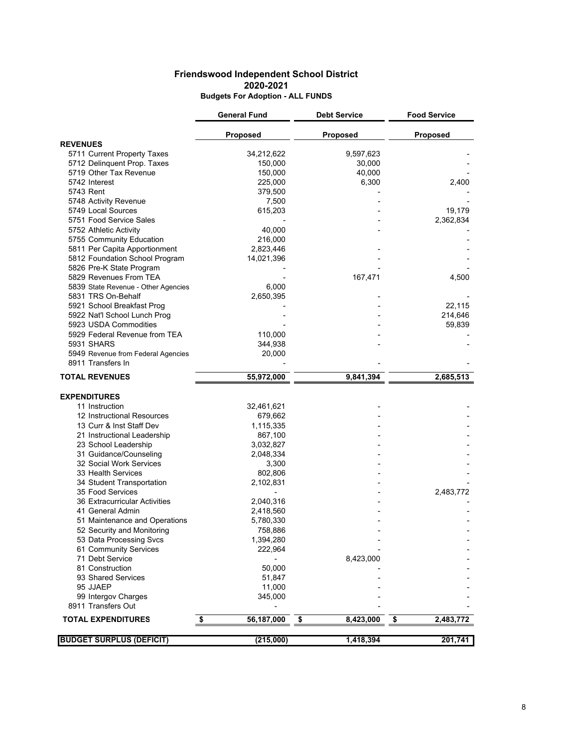#### **Friendswood Independent School District 2020-2021 Budgets For Adoption - ALL FUNDS**

|                                     | <b>General Fund</b> | <b>Debt Service</b> | <b>Food Service</b> |
|-------------------------------------|---------------------|---------------------|---------------------|
|                                     | Proposed            | <b>Proposed</b>     | <b>Proposed</b>     |
| <b>REVENUES</b>                     |                     |                     |                     |
| 5711 Current Property Taxes         | 34,212,622          | 9,597,623           |                     |
| 5712 Delinquent Prop. Taxes         | 150,000             | 30,000              |                     |
| 5719 Other Tax Revenue              | 150,000             | 40,000              |                     |
| 5742 Interest                       | 225,000             | 6,300               | 2,400               |
| 5743 Rent                           | 379,500             |                     |                     |
| 5748 Activity Revenue               | 7,500               |                     |                     |
| 5749 Local Sources                  | 615,203             |                     | 19,179              |
| 5751 Food Service Sales             |                     |                     | 2,362,834           |
| 5752 Athletic Activity              | 40,000              |                     |                     |
| 5755 Community Education            | 216,000             |                     |                     |
| 5811 Per Capita Apportionment       | 2,823,446           |                     |                     |
| 5812 Foundation School Program      | 14,021,396          |                     |                     |
| 5826 Pre-K State Program            |                     |                     |                     |
| 5829 Revenues From TEA              |                     | 167,471             | 4,500               |
| 5839 State Revenue - Other Agencies | 6,000               |                     |                     |
| 5831 TRS On-Behalf                  | 2,650,395           |                     |                     |
| 5921 School Breakfast Prog          |                     |                     | 22,115              |
| 5922 Nat'l School Lunch Prog        |                     |                     | 214,646             |
| 5923 USDA Commodities               |                     |                     | 59,839              |
| 5929 Federal Revenue from TEA       | 110,000             |                     |                     |
| 5931 SHARS                          | 344,938             |                     |                     |
| 5949 Revenue from Federal Agencies  | 20,000              |                     |                     |
| 8911 Transfers In                   |                     |                     |                     |
| <b>TOTAL REVENUES</b>               | 55,972,000          | 9,841,394           | 2,685,513           |
|                                     |                     |                     |                     |
| <b>EXPENDITURES</b>                 |                     |                     |                     |
| 11 Instruction                      | 32,461,621          |                     |                     |
| 12 Instructional Resources          | 679,662             |                     |                     |
| 13 Curr & Inst Staff Dev            | 1,115,335           |                     |                     |
| 21 Instructional Leadership         | 867,100             |                     |                     |
| 23 School Leadership                | 3,032,827           |                     |                     |
| 31 Guidance/Counseling              | 2,048,334           |                     |                     |
| 32 Social Work Services             | 3,300               |                     |                     |
| 33 Health Services                  | 802,806             |                     |                     |
| 34 Student Transportation           | 2,102,831           |                     |                     |
| 35 Food Services                    |                     |                     | 2,483,772           |
| 36 Extracurricular Activities       | 2,040,316           |                     |                     |
| 41 General Admin                    | 2,418,560           |                     |                     |
| 51 Maintenance and Operations       | 5,780,330           |                     |                     |
| 52 Security and Monitoring          | 758,886             |                     |                     |
| 53 Data Processing Svcs             | 1,394,280           |                     |                     |
| 61 Community Services               | 222,964             |                     |                     |
| 71 Debt Service                     |                     | 8,423,000           |                     |
| 81 Construction                     | 50,000              |                     |                     |
| 93 Shared Services                  | 51,847              |                     |                     |
| 95 JJAEP                            | 11,000              |                     |                     |
| 99 Intergov Charges                 | 345,000             |                     |                     |
| 8911 Transfers Out                  |                     |                     |                     |
| <b>TOTAL EXPENDITURES</b>           | \$<br>56,187,000    | \$<br>8,423,000     | \$<br>2,483,772     |
|                                     |                     |                     |                     |
| <b>BUDGET SURPLUS (DEFICIT)</b>     | (215,000)           | 1,418,394           | 201,741             |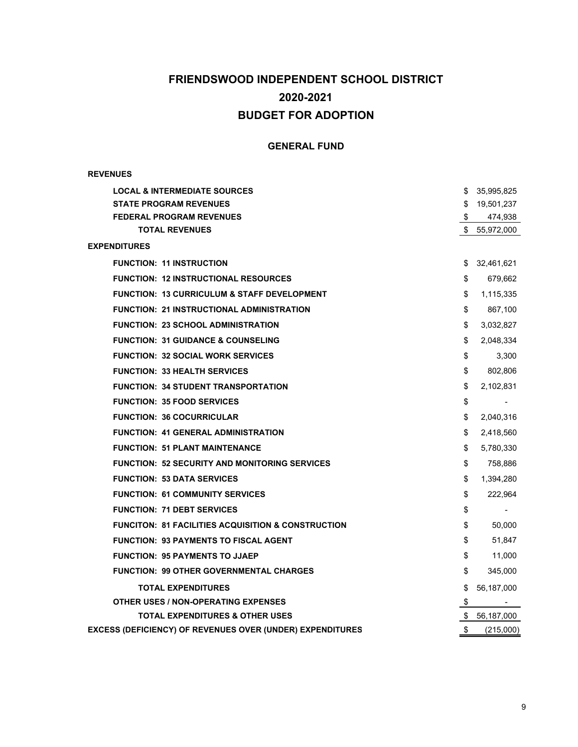### **FRIENDSWOOD INDEPENDENT SCHOOL DISTRICT BUDGET FOR ADOPTION 2020-2021**

#### **GENERAL FUND**

#### **REVENUES**

| <b>LOCAL &amp; INTERMEDIATE SOURCES</b>                       |      | \$35,995,825  |
|---------------------------------------------------------------|------|---------------|
| <b>STATE PROGRAM REVENUES</b>                                 |      | \$19,501,237  |
| <b>FEDERAL PROGRAM REVENUES</b>                               | SS S | 474,938       |
| <b>TOTAL REVENUES</b>                                         |      | \$ 55,972,000 |
| <b>EXPENDITURES</b>                                           |      |               |
| <b>FUNCTION: 11 INSTRUCTION</b>                               | \$   | 32,461,621    |
| <b>FUNCTION: 12 INSTRUCTIONAL RESOURCES</b>                   | \$   | 679,662       |
| <b>FUNCTION: 13 CURRICULUM &amp; STAFF DEVELOPMENT</b>        | \$   | 1,115,335     |
| <b>FUNCTION: 21 INSTRUCTIONAL ADMINISTRATION</b>              | \$   | 867,100       |
| <b>FUNCTION: 23 SCHOOL ADMINISTRATION</b>                     | \$   | 3,032,827     |
| <b>FUNCTION: 31 GUIDANCE &amp; COUNSELING</b>                 | \$   | 2,048,334     |
| <b>FUNCTION: 32 SOCIAL WORK SERVICES</b>                      | \$   | 3,300         |
| <b>FUNCTION: 33 HEALTH SERVICES</b>                           | \$   | 802,806       |
| <b>FUNCTION: 34 STUDENT TRANSPORTATION</b>                    | \$   | 2,102,831     |
| <b>FUNCTION: 35 FOOD SERVICES</b>                             | \$   |               |
| <b>FUNCTION: 36 COCURRICULAR</b>                              | \$   | 2,040,316     |
| <b>FUNCTION: 41 GENERAL ADMINISTRATION</b>                    | \$   | 2,418,560     |
| <b>FUNCTION: 51 PLANT MAINTENANCE</b>                         | \$   | 5,780,330     |
| <b>FUNCTION: 52 SECURITY AND MONITORING SERVICES</b>          | \$   | 758,886       |
| <b>FUNCTION: 53 DATA SERVICES</b>                             | \$   | 1,394,280     |
| <b>FUNCTION: 61 COMMUNITY SERVICES</b>                        | \$   | 222,964       |
| <b>FUNCTION: 71 DEBT SERVICES</b>                             | \$   |               |
| <b>FUNCITON: 81 FACILITIES ACQUISITION &amp; CONSTRUCTION</b> | \$   | 50,000        |
| <b>FUNCTION: 93 PAYMENTS TO FISCAL AGENT</b>                  | \$   | 51,847        |
| <b>FUNCTION: 95 PAYMENTS TO JJAEP</b>                         | \$   | 11,000        |
| <b>FUNCTION: 99 OTHER GOVERNMENTAL CHARGES</b>                | \$   | 345,000       |
| <b>TOTAL EXPENDITURES</b>                                     | \$   | 56,187,000    |
| <b>OTHER USES / NON-OPERATING EXPENSES</b>                    | \$   |               |
| <b>TOTAL EXPENDITURES &amp; OTHER USES</b>                    |      | \$ 56,187,000 |
| EXCESS (DEFICIENCY) OF REVENUES OVER (UNDER) EXPENDITURES     | \$   | (215,000)     |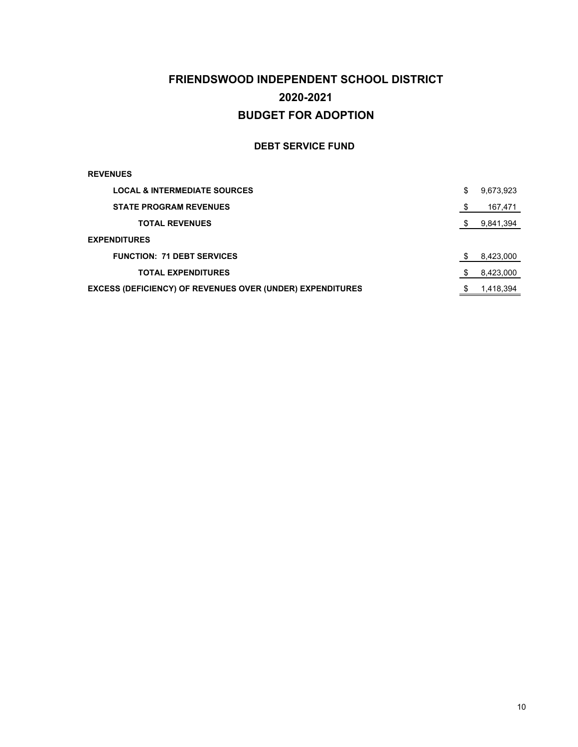### **FRIENDSWOOD INDEPENDENT SCHOOL DISTRICT BUDGET FOR ADOPTION 2020-2021**

#### **DEBT SERVICE FUND**

#### **REVENUES**

| <b>LOCAL &amp; INTERMEDIATE SOURCES</b>                          | S | 9,673,923 |
|------------------------------------------------------------------|---|-----------|
| <b>STATE PROGRAM REVENUES</b>                                    |   | 167,471   |
| <b>TOTAL REVENUES</b>                                            |   | 9,841,394 |
| <b>EXPENDITURES</b>                                              |   |           |
| <b>FUNCTION: 71 DEBT SERVICES</b>                                |   | 8,423,000 |
| <b>TOTAL EXPENDITURES</b>                                        |   | 8.423,000 |
| <b>EXCESS (DEFICIENCY) OF REVENUES OVER (UNDER) EXPENDITURES</b> |   | 1,418,394 |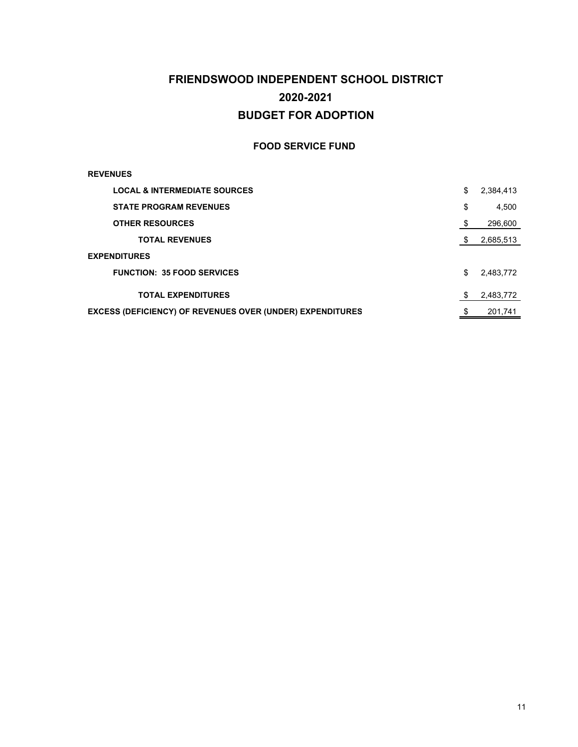### **FRIENDSWOOD INDEPENDENT SCHOOL DISTRICT BUDGET FOR ADOPTION 2020-2021**

#### **FOOD SERVICE FUND**

#### **REVENUES**

| <b>LOCAL &amp; INTERMEDIATE SOURCES</b>                          | \$   | 2,384,413 |
|------------------------------------------------------------------|------|-----------|
| <b>STATE PROGRAM REVENUES</b>                                    | \$   | 4,500     |
| <b>OTHER RESOURCES</b>                                           | - \$ | 296,600   |
| <b>TOTAL REVENUES</b>                                            | - \$ | 2,685,513 |
| <b>EXPENDITURES</b>                                              |      |           |
| <b>FUNCTION: 35 FOOD SERVICES</b>                                | \$   | 2,483,772 |
| <b>TOTAL EXPENDITURES</b>                                        |      | 2,483,772 |
| <b>EXCESS (DEFICIENCY) OF REVENUES OVER (UNDER) EXPENDITURES</b> |      | 201.741   |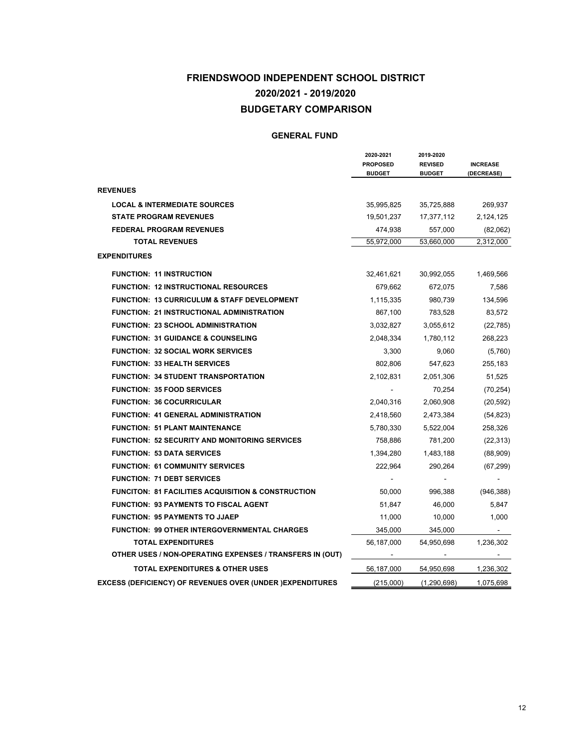### **FRIENDSWOOD INDEPENDENT SCHOOL DISTRICT BUDGETARY COMPARISON 2020/2021 - 2019/2020**

|                                                                   | 2020-2021<br><b>PROPOSED</b><br><b>BUDGET</b> | 2019-2020<br><b>REVISED</b><br><b>BUDGET</b> | <b>INCREASE</b><br>(DECREASE) |
|-------------------------------------------------------------------|-----------------------------------------------|----------------------------------------------|-------------------------------|
| <b>REVENUES</b>                                                   |                                               |                                              |                               |
| <b>LOCAL &amp; INTERMEDIATE SOURCES</b>                           | 35,995,825                                    | 35,725,888                                   | 269,937                       |
| <b>STATE PROGRAM REVENUES</b>                                     | 19,501,237                                    | 17,377,112                                   | 2,124,125                     |
| <b>FEDERAL PROGRAM REVENUES</b>                                   | 474,938                                       | 557,000                                      | (82,062)                      |
| <b>TOTAL REVENUES</b>                                             | 55,972,000                                    | 53,660,000                                   | 2,312,000                     |
| <b>EXPENDITURES</b>                                               |                                               |                                              |                               |
| <b>FUNCTION: 11 INSTRUCTION</b>                                   | 32,461,621                                    | 30,992,055                                   | 1,469,566                     |
| <b>FUNCTION: 12 INSTRUCTIONAL RESOURCES</b>                       | 679,662                                       | 672,075                                      | 7,586                         |
| <b>FUNCTION: 13 CURRICULUM &amp; STAFF DEVELOPMENT</b>            | 1,115,335                                     | 980,739                                      | 134,596                       |
| <b>FUNCTION: 21 INSTRUCTIONAL ADMINISTRATION</b>                  | 867,100                                       | 783,528                                      | 83,572                        |
| <b>FUNCTION: 23 SCHOOL ADMINISTRATION</b>                         | 3,032,827                                     | 3,055,612                                    | (22, 785)                     |
| <b>FUNCTION: 31 GUIDANCE &amp; COUNSELING</b>                     | 2,048,334                                     | 1,780,112                                    | 268,223                       |
| <b>FUNCTION: 32 SOCIAL WORK SERVICES</b>                          | 3,300                                         | 9,060                                        | (5,760)                       |
| <b>FUNCTION: 33 HEALTH SERVICES</b>                               | 802,806                                       | 547,623                                      | 255,183                       |
| <b>FUNCTION: 34 STUDENT TRANSPORTATION</b>                        | 2,102,831                                     | 2,051,306                                    | 51,525                        |
| <b>FUNCTION: 35 FOOD SERVICES</b>                                 | $\blacksquare$                                | 70,254                                       | (70, 254)                     |
| <b>FUNCTION: 36 COCURRICULAR</b>                                  | 2,040,316                                     | 2,060,908                                    | (20, 592)                     |
| <b>FUNCTION: 41 GENERAL ADMINISTRATION</b>                        | 2,418,560                                     | 2,473,384                                    | (54, 823)                     |
| <b>FUNCTION: 51 PLANT MAINTENANCE</b>                             | 5,780,330                                     | 5,522,004                                    | 258,326                       |
| <b>FUNCTION: 52 SECURITY AND MONITORING SERVICES</b>              | 758,886                                       | 781,200                                      | (22, 313)                     |
| <b>FUNCTION: 53 DATA SERVICES</b>                                 | 1,394,280                                     | 1,483,188                                    | (88,909)                      |
| <b>FUNCTION: 61 COMMUNITY SERVICES</b>                            | 222,964                                       | 290,264                                      | (67, 299)                     |
| <b>FUNCTION: 71 DEBT SERVICES</b>                                 |                                               |                                              |                               |
| <b>FUNCITON: 81 FACILITIES ACQUISITION &amp; CONSTRUCTION</b>     | 50,000                                        | 996,388                                      | (946, 388)                    |
| <b>FUNCTION: 93 PAYMENTS TO FISCAL AGENT</b>                      | 51,847                                        | 46,000                                       | 5,847                         |
| <b>FUNCTION: 95 PAYMENTS TO JJAEP</b>                             | 11,000                                        | 10,000                                       | 1,000                         |
| <b>FUNCTION: 99 OTHER INTERGOVERNMENTAL CHARGES</b>               | 345,000                                       | 345,000                                      |                               |
| <b>TOTAL EXPENDITURES</b>                                         | 56,187,000                                    | 54,950,698                                   | 1,236,302                     |
| OTHER USES / NON-OPERATING EXPENSES / TRANSFERS IN (OUT)          |                                               |                                              |                               |
| <b>TOTAL EXPENDITURES &amp; OTHER USES</b>                        | 56,187,000                                    | 54,950,698                                   | 1,236,302                     |
| <b>EXCESS (DEFICIENCY) OF REVENUES OVER (UNDER ) EXPENDITURES</b> | (215,000)                                     | (1,290,698)                                  | 1,075,698                     |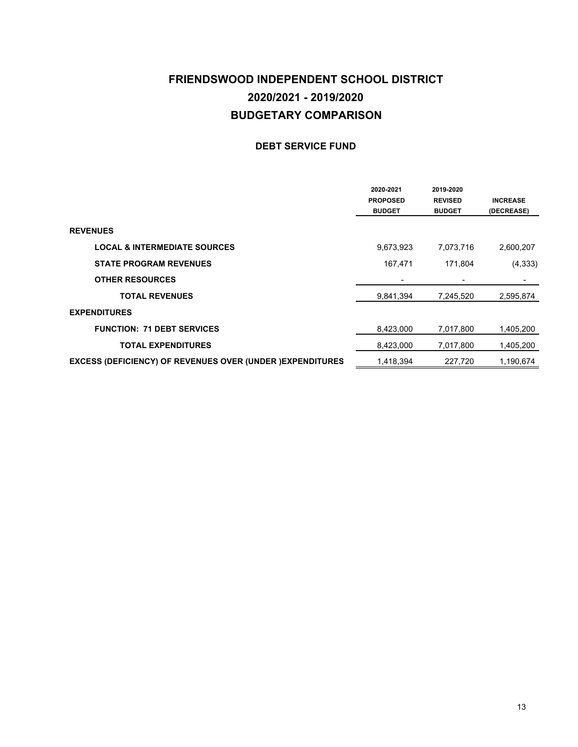### **FRIENDSWOOD INDEPENDENT SCHOOL DISTRICT BUDGETARY COMPARISON 2020/2021 - 2019/2020**

#### **DEBT SERVICE FUND**

|                                                                   | 2020-2021<br><b>PROPOSED</b><br><b>BUDGET</b> | 2019-2020<br><b>REVISED</b><br><b>BUDGET</b> | <b>INCREASE</b><br>(DECREASE) |
|-------------------------------------------------------------------|-----------------------------------------------|----------------------------------------------|-------------------------------|
| <b>REVENUES</b>                                                   |                                               |                                              |                               |
| <b>LOCAL &amp; INTERMEDIATE SOURCES</b>                           | 9,673,923                                     | 7,073,716                                    | 2,600,207                     |
| <b>STATE PROGRAM REVENUES</b>                                     | 167,471                                       | 171,804                                      | (4, 333)                      |
| <b>OTHER RESOURCES</b>                                            |                                               |                                              |                               |
| <b>TOTAL REVENUES</b>                                             | 9,841,394                                     | 7,245,520                                    | 2,595,874                     |
| <b>EXPENDITURES</b>                                               |                                               |                                              |                               |
| <b>FUNCTION: 71 DEBT SERVICES</b>                                 | 8,423,000                                     | 7,017,800                                    | 1,405,200                     |
| <b>TOTAL EXPENDITURES</b>                                         | 8,423,000                                     | 7,017,800                                    | 1,405,200                     |
| <b>EXCESS (DEFICIENCY) OF REVENUES OVER (UNDER ) EXPENDITURES</b> | 1,418,394                                     | 227,720                                      | 1,190,674                     |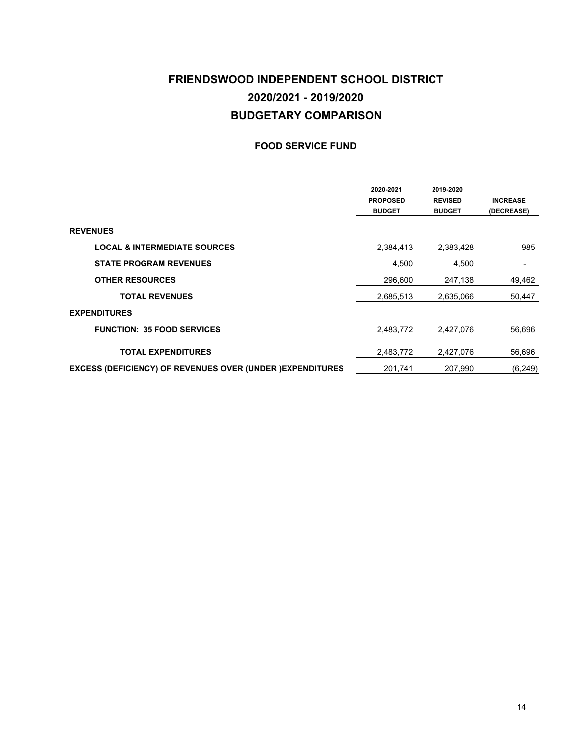### **FRIENDSWOOD INDEPENDENT SCHOOL DISTRICT BUDGETARY COMPARISON 2020/2021 - 2019/2020**

#### **FOOD SERVICE FUND**

|                                                                   | 2020-2021<br><b>PROPOSED</b><br><b>BUDGET</b> | 2019-2020<br><b>REVISED</b><br><b>BUDGET</b> | <b>INCREASE</b><br>(DECREASE) |
|-------------------------------------------------------------------|-----------------------------------------------|----------------------------------------------|-------------------------------|
| <b>REVENUES</b>                                                   |                                               |                                              |                               |
| <b>LOCAL &amp; INTERMEDIATE SOURCES</b>                           | 2,384,413                                     | 2,383,428                                    | 985                           |
| <b>STATE PROGRAM REVENUES</b>                                     | 4,500                                         | 4,500                                        | ٠                             |
| <b>OTHER RESOURCES</b>                                            | 296,600                                       | 247,138                                      | 49,462                        |
| <b>TOTAL REVENUES</b>                                             | 2,685,513                                     | 2,635,066                                    | 50,447                        |
| <b>EXPENDITURES</b>                                               |                                               |                                              |                               |
| <b>FUNCTION: 35 FOOD SERVICES</b>                                 | 2,483,772                                     | 2,427,076                                    | 56,696                        |
| <b>TOTAL EXPENDITURES</b>                                         | 2,483,772                                     | 2,427,076                                    | 56.696                        |
| <b>EXCESS (DEFICIENCY) OF REVENUES OVER (UNDER ) EXPENDITURES</b> | 201,741                                       | 207.990                                      | (6, 249)                      |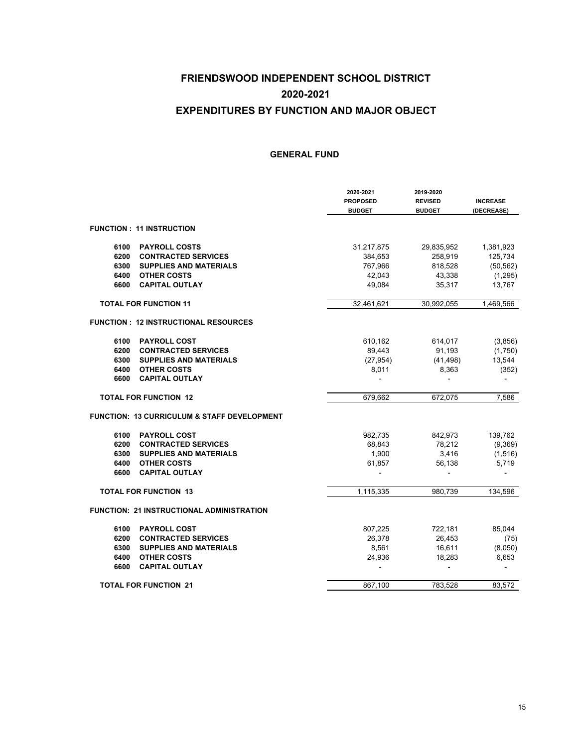|      |                                                        | 2020-2021<br><b>PROPOSED</b><br><b>BUDGET</b> | 2019-2020<br><b>REVISED</b><br><b>BUDGET</b> | <b>INCREASE</b><br>(DECREASE) |
|------|--------------------------------------------------------|-----------------------------------------------|----------------------------------------------|-------------------------------|
|      | <b>FUNCTION: 11 INSTRUCTION</b>                        |                                               |                                              |                               |
| 6100 | <b>PAYROLL COSTS</b>                                   | 31,217,875                                    | 29,835,952                                   | 1,381,923                     |
| 6200 | <b>CONTRACTED SERVICES</b>                             | 384,653                                       | 258,919                                      | 125,734                       |
| 6300 | <b>SUPPLIES AND MATERIALS</b>                          | 767,966                                       | 818,528                                      | (50, 562)                     |
| 6400 | <b>OTHER COSTS</b>                                     | 42,043                                        | 43,338                                       | (1,295)                       |
| 6600 | <b>CAPITAL OUTLAY</b>                                  | 49,084                                        | 35,317                                       | 13,767                        |
|      | <b>TOTAL FOR FUNCTION 11</b>                           | 32,461,621                                    | 30,992,055                                   | 1,469,566                     |
|      | <b>FUNCTION: 12 INSTRUCTIONAL RESOURCES</b>            |                                               |                                              |                               |
| 6100 | <b>PAYROLL COST</b>                                    | 610,162                                       | 614,017                                      | (3,856)                       |
| 6200 | <b>CONTRACTED SERVICES</b>                             | 89,443                                        | 91,193                                       | (1,750)                       |
| 6300 | <b>SUPPLIES AND MATERIALS</b>                          | (27, 954)                                     | (41, 498)                                    | 13,544                        |
| 6400 | <b>OTHER COSTS</b>                                     | 8,011                                         | 8,363                                        | (352)                         |
| 6600 | <b>CAPITAL OUTLAY</b>                                  |                                               |                                              |                               |
|      | <b>TOTAL FOR FUNCTION 12</b>                           | 679,662                                       | 672,075                                      | 7,586                         |
|      | <b>FUNCTION: 13 CURRICULUM &amp; STAFF DEVELOPMENT</b> |                                               |                                              |                               |
| 6100 | <b>PAYROLL COST</b>                                    | 982,735                                       | 842,973                                      | 139,762                       |
| 6200 | <b>CONTRACTED SERVICES</b>                             | 68,843                                        | 78,212                                       | (9,369)                       |
| 6300 | <b>SUPPLIES AND MATERIALS</b>                          | 1,900                                         | 3,416                                        | (1,516)                       |
| 6400 | <b>OTHER COSTS</b>                                     | 61,857                                        | 56,138                                       | 5,719                         |
| 6600 | <b>CAPITAL OUTLAY</b>                                  |                                               |                                              |                               |
|      | <b>TOTAL FOR FUNCTION 13</b>                           | 1.115.335                                     | 980.739                                      | 134.596                       |
|      | FUNCTION: 21 INSTRUCTIONAL ADMINISTRATION              |                                               |                                              |                               |
| 6100 | <b>PAYROLL COST</b>                                    | 807,225                                       | 722,181                                      | 85,044                        |
| 6200 | <b>CONTRACTED SERVICES</b>                             | 26,378                                        | 26,453                                       | (75)                          |
| 6300 | <b>SUPPLIES AND MATERIALS</b>                          | 8,561                                         | 16,611                                       | (8,050)                       |
| 6400 | <b>OTHER COSTS</b>                                     | 24,936                                        | 18,283                                       | 6,653                         |
| 6600 | <b>CAPITAL OUTLAY</b>                                  |                                               |                                              |                               |
|      | <b>TOTAL FOR FUNCTION 21</b>                           | 867,100                                       | 783,528                                      | 83,572                        |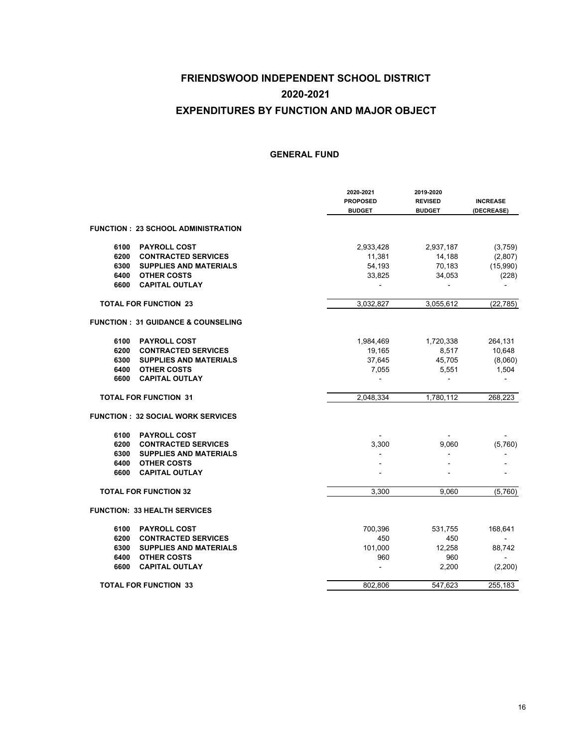|                                               | 2020-2021<br><b>PROPOSED</b><br><b>BUDGET</b> | 2019-2020<br><b>REVISED</b><br><b>BUDGET</b> | <b>INCREASE</b><br>(DECREASE) |
|-----------------------------------------------|-----------------------------------------------|----------------------------------------------|-------------------------------|
| <b>FUNCTION: 23 SCHOOL ADMINISTRATION</b>     |                                               |                                              |                               |
| 6100<br><b>PAYROLL COST</b>                   | 2,933,428                                     | 2,937,187                                    | (3,759)                       |
| 6200<br><b>CONTRACTED SERVICES</b>            | 11,381                                        | 14,188                                       | (2,807)                       |
| 6300<br><b>SUPPLIES AND MATERIALS</b>         | 54,193                                        | 70,183                                       | (15,990)                      |
| 6400<br><b>OTHER COSTS</b>                    | 33,825                                        | 34,053                                       | (228)                         |
| 6600<br><b>CAPITAL OUTLAY</b>                 |                                               |                                              | L,                            |
| <b>TOTAL FOR FUNCTION 23</b>                  | 3,032,827                                     | 3,055,612                                    | (22, 785)                     |
| <b>FUNCTION: 31 GUIDANCE &amp; COUNSELING</b> |                                               |                                              |                               |
| 6100<br><b>PAYROLL COST</b>                   | 1,984,469                                     | 1,720,338                                    | 264,131                       |
| 6200<br><b>CONTRACTED SERVICES</b>            | 19,165                                        | 8,517                                        | 10,648                        |
| 6300<br><b>SUPPLIES AND MATERIALS</b>         | 37,645                                        | 45,705                                       | (8,060)                       |
| 6400<br><b>OTHER COSTS</b>                    | 7,055                                         | 5,551                                        | 1,504                         |
| 6600<br><b>CAPITAL OUTLAY</b>                 |                                               |                                              |                               |
| <b>TOTAL FOR FUNCTION 31</b>                  | 2,048,334                                     | 1,780,112                                    | 268,223                       |
| <b>FUNCTION: 32 SOCIAL WORK SERVICES</b>      |                                               |                                              |                               |
| 6100<br><b>PAYROLL COST</b>                   |                                               |                                              |                               |
| 6200<br><b>CONTRACTED SERVICES</b>            | 3,300                                         | 9,060                                        | (5,760)                       |
| 6300<br><b>SUPPLIES AND MATERIALS</b>         |                                               |                                              |                               |
| 6400<br><b>OTHER COSTS</b>                    |                                               |                                              |                               |
| 6600<br><b>CAPITAL OUTLAY</b>                 |                                               |                                              |                               |
| <b>TOTAL FOR FUNCTION 32</b>                  | 3,300                                         | 9.060                                        | (5,760)                       |
| <b>FUNCTION: 33 HEALTH SERVICES</b>           |                                               |                                              |                               |
| 6100<br><b>PAYROLL COST</b>                   | 700,396                                       | 531,755                                      | 168,641                       |
| 6200<br><b>CONTRACTED SERVICES</b>            | 450                                           | 450                                          |                               |
| 6300<br><b>SUPPLIES AND MATERIALS</b>         | 101,000                                       | 12,258                                       | 88,742                        |
| 6400<br><b>OTHER COSTS</b>                    | 960                                           | 960                                          |                               |
| 6600<br><b>CAPITAL OUTLAY</b>                 |                                               | 2,200                                        | (2,200)                       |
| <b>TOTAL FOR FUNCTION 33</b>                  | 802,806                                       | 547,623                                      | 255,183                       |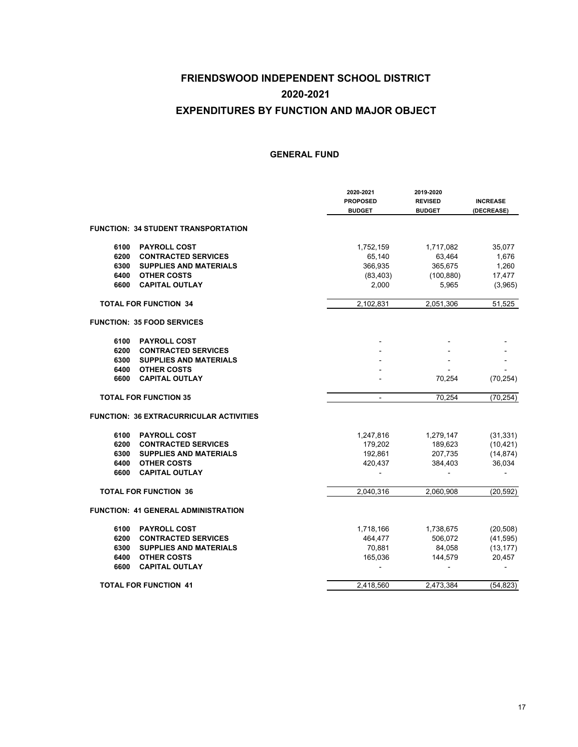|      |                                                | 2020-2021<br><b>PROPOSED</b><br><b>BUDGET</b> | 2019-2020<br><b>REVISED</b><br><b>BUDGET</b> | <b>INCREASE</b><br>(DECREASE) |
|------|------------------------------------------------|-----------------------------------------------|----------------------------------------------|-------------------------------|
|      | <b>FUNCTION: 34 STUDENT TRANSPORTATION</b>     |                                               |                                              |                               |
| 6100 | <b>PAYROLL COST</b>                            | 1,752,159                                     | 1,717,082                                    | 35,077                        |
| 6200 | <b>CONTRACTED SERVICES</b>                     | 65,140                                        | 63,464                                       | 1,676                         |
| 6300 | <b>SUPPLIES AND MATERIALS</b>                  | 366,935                                       | 365,675                                      | 1,260                         |
| 6400 | <b>OTHER COSTS</b>                             | (83, 403)                                     | (100, 880)                                   | 17,477                        |
| 6600 | <b>CAPITAL OUTLAY</b>                          | 2,000                                         | 5,965                                        | (3,965)                       |
|      | <b>TOTAL FOR FUNCTION 34</b>                   | 2,102,831                                     | 2,051,306                                    | 51,525                        |
|      | <b>FUNCTION: 35 FOOD SERVICES</b>              |                                               |                                              |                               |
| 6100 | <b>PAYROLL COST</b>                            |                                               |                                              |                               |
| 6200 | <b>CONTRACTED SERVICES</b>                     |                                               |                                              |                               |
| 6300 | <b>SUPPLIES AND MATERIALS</b>                  |                                               |                                              |                               |
| 6400 | <b>OTHER COSTS</b>                             |                                               |                                              |                               |
| 6600 | <b>CAPITAL OUTLAY</b>                          |                                               | 70,254                                       | (70, 254)                     |
|      | <b>TOTAL FOR FUNCTION 35</b>                   | $\blacksquare$                                | 70,254                                       | (70, 254)                     |
|      | <b>FUNCTION: 36 EXTRACURRICULAR ACTIVITIES</b> |                                               |                                              |                               |
| 6100 | <b>PAYROLL COST</b>                            | 1,247,816                                     | 1,279,147                                    | (31, 331)                     |
| 6200 | <b>CONTRACTED SERVICES</b>                     | 179,202                                       | 189,623                                      | (10, 421)                     |
| 6300 | <b>SUPPLIES AND MATERIALS</b>                  | 192,861                                       | 207,735                                      | (14, 874)                     |
| 6400 | <b>OTHER COSTS</b>                             | 420,437                                       | 384,403                                      | 36,034                        |
| 6600 | <b>CAPITAL OUTLAY</b>                          |                                               |                                              |                               |
|      | <b>TOTAL FOR FUNCTION 36</b>                   | 2,040,316                                     | 2,060,908                                    | (20, 592)                     |
|      | <b>FUNCTION: 41 GENERAL ADMINISTRATION</b>     |                                               |                                              |                               |
| 6100 | <b>PAYROLL COST</b>                            | 1,718,166                                     | 1,738,675                                    | (20, 508)                     |
| 6200 | <b>CONTRACTED SERVICES</b>                     | 464,477                                       | 506,072                                      | (41, 595)                     |
| 6300 | <b>SUPPLIES AND MATERIALS</b>                  | 70,881                                        | 84,058                                       | (13, 177)                     |
| 6400 | <b>OTHER COSTS</b>                             | 165,036                                       | 144,579                                      | 20,457                        |
| 6600 | <b>CAPITAL OUTLAY</b>                          |                                               |                                              |                               |
|      | <b>TOTAL FOR FUNCTION 41</b>                   | 2,418,560                                     | 2,473,384                                    | (54, 823)                     |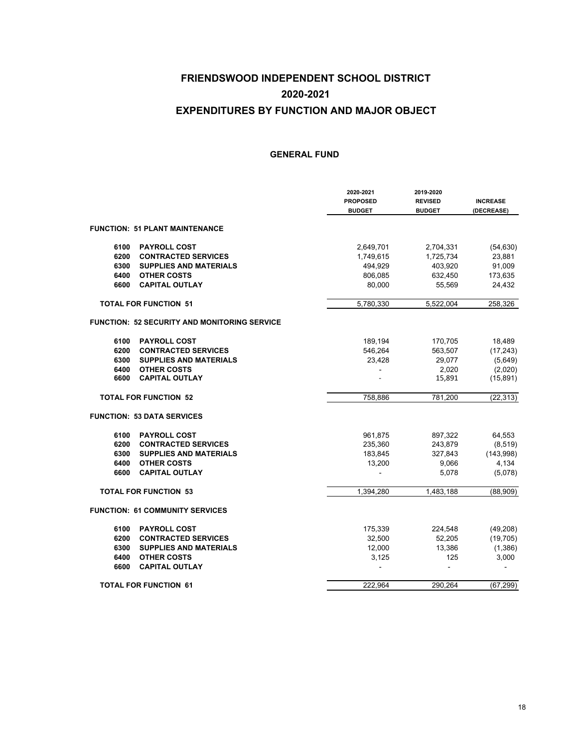|      |                                              | 2020-2021<br><b>PROPOSED</b><br><b>BUDGET</b> | 2019-2020<br><b>REVISED</b><br><b>BUDGET</b> | <b>INCREASE</b><br>(DECREASE) |
|------|----------------------------------------------|-----------------------------------------------|----------------------------------------------|-------------------------------|
|      | <b>FUNCTION: 51 PLANT MAINTENANCE</b>        |                                               |                                              |                               |
| 6100 | <b>PAYROLL COST</b>                          | 2,649,701                                     | 2,704,331                                    | (54, 630)                     |
| 6200 | <b>CONTRACTED SERVICES</b>                   | 1,749,615                                     | 1,725,734                                    | 23,881                        |
| 6300 | <b>SUPPLIES AND MATERIALS</b>                | 494,929                                       | 403,920                                      | 91,009                        |
| 6400 | <b>OTHER COSTS</b>                           | 806,085                                       | 632,450                                      | 173,635                       |
| 6600 | <b>CAPITAL OUTLAY</b>                        | 80,000                                        | 55,569                                       | 24,432                        |
|      | <b>TOTAL FOR FUNCTION 51</b>                 | 5,780,330                                     | 5,522,004                                    | 258,326                       |
|      | FUNCTION: 52 SECURITY AND MONITORING SERVICE |                                               |                                              |                               |
| 6100 | <b>PAYROLL COST</b>                          | 189,194                                       | 170,705                                      | 18,489                        |
| 6200 | <b>CONTRACTED SERVICES</b>                   | 546,264                                       | 563,507                                      | (17, 243)                     |
| 6300 | <b>SUPPLIES AND MATERIALS</b>                | 23,428                                        | 29,077                                       | (5,649)                       |
| 6400 | <b>OTHER COSTS</b>                           |                                               | 2,020                                        | (2,020)                       |
| 6600 | <b>CAPITAL OUTLAY</b>                        |                                               | 15,891                                       | (15, 891)                     |
|      | <b>TOTAL FOR FUNCTION 52</b>                 | 758,886                                       | 781,200                                      | (22, 313)                     |
|      | <b>FUNCTION: 53 DATA SERVICES</b>            |                                               |                                              |                               |
| 6100 | <b>PAYROLL COST</b>                          | 961,875                                       | 897,322                                      | 64,553                        |
| 6200 | <b>CONTRACTED SERVICES</b>                   | 235,360                                       | 243,879                                      | (8, 519)                      |
| 6300 | <b>SUPPLIES AND MATERIALS</b>                | 183,845                                       | 327,843                                      | (143,998)                     |
| 6400 | <b>OTHER COSTS</b>                           | 13,200                                        | 9,066                                        | 4,134                         |
| 6600 | <b>CAPITAL OUTLAY</b>                        |                                               | 5,078                                        | (5,078)                       |
|      | <b>TOTAL FOR FUNCTION 53</b>                 | 1,394,280                                     | 1,483,188                                    | (88,909)                      |
|      | <b>FUNCTION: 61 COMMUNITY SERVICES</b>       |                                               |                                              |                               |
| 6100 | <b>PAYROLL COST</b>                          | 175,339                                       | 224,548                                      | (49, 208)                     |
| 6200 | <b>CONTRACTED SERVICES</b>                   | 32,500                                        | 52,205                                       | (19, 705)                     |
| 6300 | <b>SUPPLIES AND MATERIALS</b>                | 12,000                                        | 13,386                                       | (1,386)                       |
| 6400 | <b>OTHER COSTS</b>                           | 3,125                                         | 125                                          | 3,000                         |
| 6600 | <b>CAPITAL OUTLAY</b>                        |                                               | ÷.                                           |                               |
|      | <b>TOTAL FOR FUNCTION 61</b>                 | 222,964                                       | 290,264                                      | (67, 299)                     |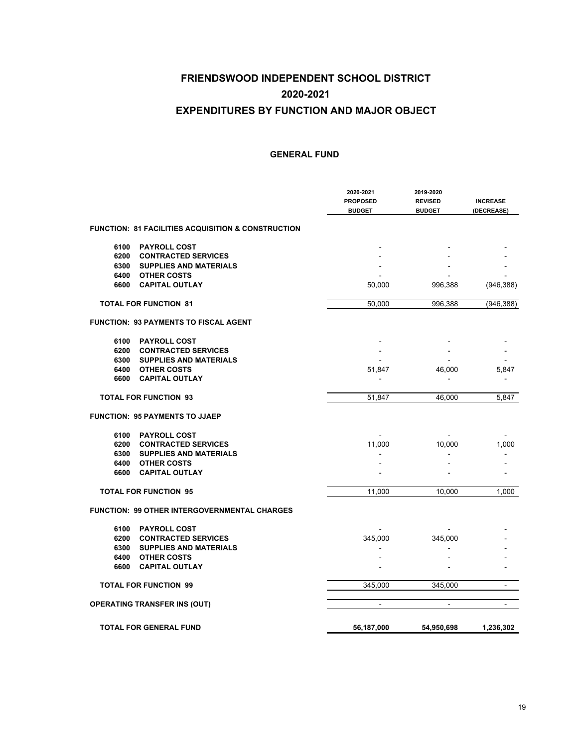|              |                                                     | 2020-2021<br><b>PROPOSED</b><br><b>BUDGET</b> | 2019-2020<br><b>REVISED</b><br><b>BUDGET</b> | <b>INCREASE</b><br>(DECREASE) |
|--------------|-----------------------------------------------------|-----------------------------------------------|----------------------------------------------|-------------------------------|
|              | FUNCTION: 81 FACILITIES ACQUISITION & CONSTRUCTION  |                                               |                                              |                               |
| 6100         | <b>PAYROLL COST</b>                                 |                                               |                                              |                               |
| 6200         | <b>CONTRACTED SERVICES</b>                          |                                               |                                              |                               |
| 6300<br>6400 | <b>SUPPLIES AND MATERIALS</b><br><b>OTHER COSTS</b> |                                               |                                              |                               |
| 6600         | <b>CAPITAL OUTLAY</b>                               | 50,000                                        | 996,388                                      | (946, 388)                    |
|              | <b>TOTAL FOR FUNCTION 81</b>                        | 50,000                                        | 996,388                                      | (946, 388)                    |
|              | FUNCTION:  93 PAYMENTS TO FISCAL AGENT              |                                               |                                              |                               |
| 6100         | <b>PAYROLL COST</b>                                 |                                               |                                              |                               |
| 6200         | <b>CONTRACTED SERVICES</b>                          |                                               |                                              |                               |
| 6300         | <b>SUPPLIES AND MATERIALS</b>                       |                                               |                                              |                               |
| 6400<br>6600 | <b>OTHER COSTS</b><br><b>CAPITAL OUTLAY</b>         | 51,847                                        | 46,000                                       | 5,847<br>٠                    |
|              | <b>TOTAL FOR FUNCTION 93</b>                        | 51,847                                        | 46,000                                       | 5,847                         |
|              | <b>FUNCTION: 95 PAYMENTS TO JJAEP</b>               |                                               |                                              |                               |
| 6100         | <b>PAYROLL COST</b>                                 |                                               |                                              |                               |
| 6200         | <b>CONTRACTED SERVICES</b>                          | 11,000                                        | 10,000                                       | 1,000                         |
| 6300         | <b>SUPPLIES AND MATERIALS</b>                       |                                               |                                              |                               |
| 6400<br>6600 | <b>OTHER COSTS</b><br><b>CAPITAL OUTLAY</b>         |                                               |                                              |                               |
|              | <b>TOTAL FOR FUNCTION 95</b>                        | 11,000                                        | 10,000                                       | 1,000                         |
|              | FUNCTION: 99 OTHER INTERGOVERNMENTAL CHARGES        |                                               |                                              |                               |
| 6100         | <b>PAYROLL COST</b>                                 |                                               |                                              |                               |
| 6200         | <b>CONTRACTED SERVICES</b>                          | 345,000                                       | 345,000                                      |                               |
| 6300         | <b>SUPPLIES AND MATERIALS</b>                       |                                               |                                              |                               |
| 6400         | <b>OTHER COSTS</b>                                  |                                               |                                              |                               |
| 6600         | <b>CAPITAL OUTLAY</b>                               |                                               |                                              |                               |
|              | <b>TOTAL FOR FUNCTION 99</b>                        | 345,000                                       | 345,000                                      | $\overline{a}$                |
|              | <b>OPERATING TRANSFER INS (OUT)</b>                 | $\overline{\phantom{a}}$                      | $\overline{\phantom{a}}$                     | $\blacksquare$                |
|              | <b>TOTAL FOR GENERAL FUND</b>                       | 56,187,000                                    | 54,950,698                                   | 1,236,302                     |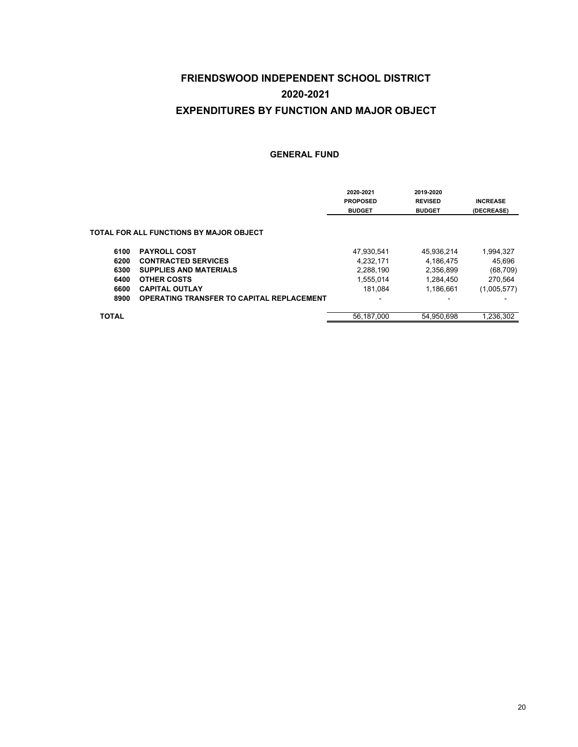|              |                                                  | 2020-2021<br><b>PROPOSED</b> | 2019-2020<br><b>REVISED</b> | <b>INCREASE</b> |
|--------------|--------------------------------------------------|------------------------------|-----------------------------|-----------------|
|              |                                                  | <b>BUDGET</b>                | <b>BUDGET</b>               | (DECREASE)      |
|              | TOTAL FOR ALL FUNCTIONS BY MAJOR OBJECT          |                              |                             |                 |
| 6100         | <b>PAYROLL COST</b>                              | 47.930.541                   | 45,936,214                  | 1,994,327       |
| 6200         | <b>CONTRACTED SERVICES</b>                       | 4.232.171                    | 4.186.475                   | 45.696          |
| 6300         | <b>SUPPLIES AND MATERIALS</b>                    | 2,288,190                    | 2,356,899                   | (68, 709)       |
| 6400         | <b>OTHER COSTS</b>                               | 1,555,014                    | 1,284,450                   | 270,564         |
| 6600         | <b>CAPITAL OUTLAY</b>                            | 181.084                      | 1.186.661                   | (1,005,577)     |
| 8900         | <b>OPERATING TRANSFER TO CAPITAL REPLACEMENT</b> | -                            | -                           |                 |
| <b>TOTAL</b> |                                                  | 56.187.000                   | 54.950.698                  | 1.236.302       |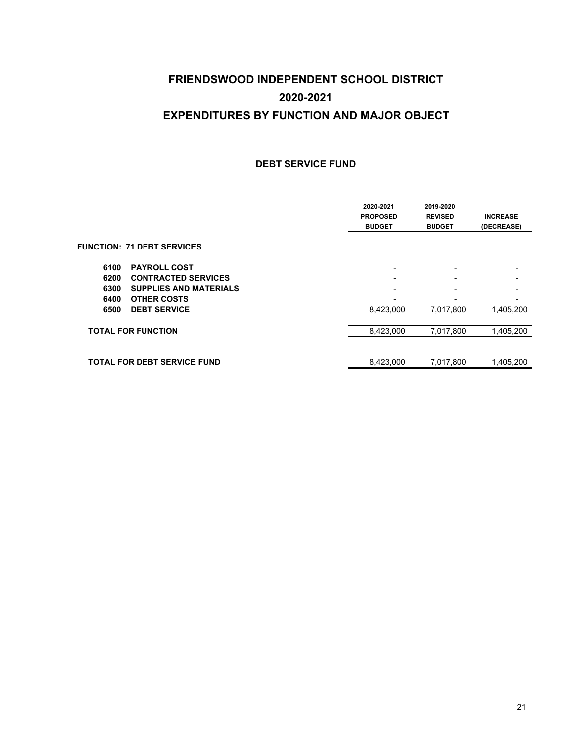#### **DEBT SERVICE FUND**

|                                       | 2020-2021<br><b>PROPOSED</b><br><b>BUDGET</b> | 2019-2020<br><b>REVISED</b><br><b>BUDGET</b> | <b>INCREASE</b><br>(DECREASE) |
|---------------------------------------|-----------------------------------------------|----------------------------------------------|-------------------------------|
| <b>FUNCTION: 71 DEBT SERVICES</b>     |                                               |                                              |                               |
| <b>PAYROLL COST</b><br>6100           |                                               | -                                            | -                             |
| <b>CONTRACTED SERVICES</b><br>6200    |                                               |                                              |                               |
| <b>SUPPLIES AND MATERIALS</b><br>6300 | $\overline{\phantom{0}}$                      | $\overline{\phantom{0}}$                     |                               |
| <b>OTHER COSTS</b><br>6400            |                                               | $\overline{\phantom{0}}$                     | -                             |
| <b>DEBT SERVICE</b><br>6500           | 8,423,000                                     | 7,017,800                                    | 1,405,200                     |
| <b>TOTAL FOR FUNCTION</b>             | 8,423,000                                     | 7,017,800                                    | 1,405,200                     |
|                                       |                                               |                                              |                               |
| <b>TOTAL FOR DEBT SERVICE FUND</b>    | 8,423,000                                     | 7,017,800                                    | 1,405,200                     |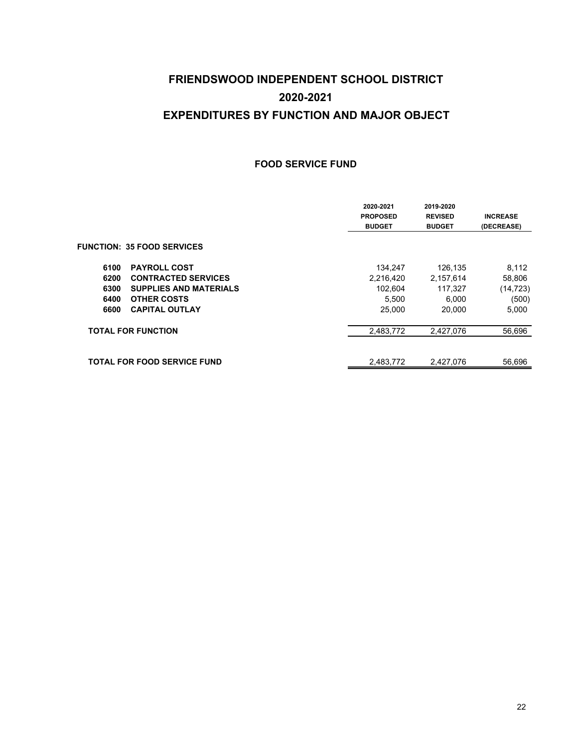#### **FOOD SERVICE FUND**

|                                       | 2020-2021<br><b>PROPOSED</b><br><b>BUDGET</b> | 2019-2020<br><b>REVISED</b><br><b>BUDGET</b> | <b>INCREASE</b><br>(DECREASE) |
|---------------------------------------|-----------------------------------------------|----------------------------------------------|-------------------------------|
| <b>FUNCTION: 35 FOOD SERVICES</b>     |                                               |                                              |                               |
| <b>PAYROLL COST</b><br>6100           | 134,247                                       | 126,135                                      | 8,112                         |
| <b>CONTRACTED SERVICES</b><br>6200    | 2,216,420                                     | 2,157,614                                    | 58,806                        |
| <b>SUPPLIES AND MATERIALS</b><br>6300 | 102.604                                       | 117,327                                      | (14, 723)                     |
| <b>OTHER COSTS</b><br>6400            | 5,500                                         | 6,000                                        | (500)                         |
| <b>CAPITAL OUTLAY</b><br>6600         | 25,000                                        | 20.000                                       | 5,000                         |
| <b>TOTAL FOR FUNCTION</b>             | 2,483,772                                     | 2,427,076                                    | 56,696                        |
| <b>TOTAL FOR FOOD SERVICE FUND</b>    | 2,483,772                                     | 2,427,076                                    | 56,696                        |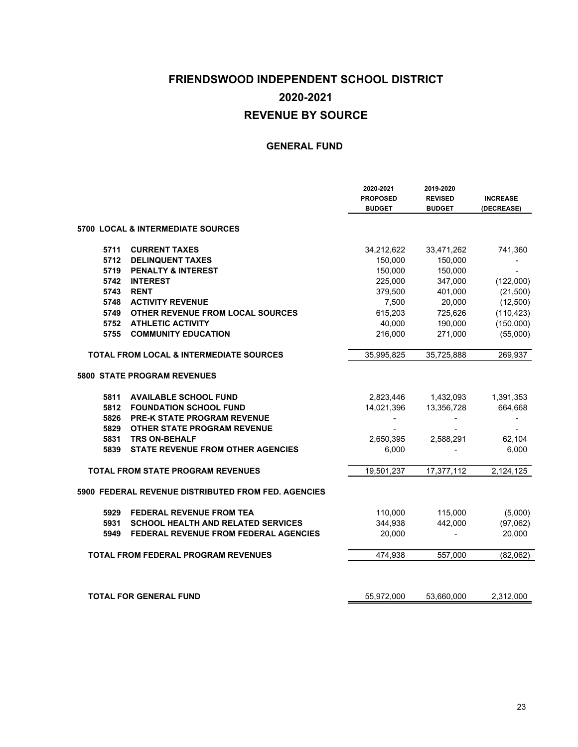### **FRIENDSWOOD INDEPENDENT SCHOOL DISTRICT REVENUE BY SOURCE 2020-2021**

|      |                                                      | 2020-2021<br><b>PROPOSED</b><br><b>BUDGET</b> | 2019-2020<br><b>REVISED</b><br><b>BUDGET</b> | <b>INCREASE</b><br>(DECREASE) |
|------|------------------------------------------------------|-----------------------------------------------|----------------------------------------------|-------------------------------|
|      | <b>5700 LOCAL &amp; INTERMEDIATE SOURCES</b>         |                                               |                                              |                               |
| 5711 | <b>CURRENT TAXES</b>                                 | 34,212,622                                    | 33,471,262                                   | 741,360                       |
| 5712 | <b>DELINQUENT TAXES</b>                              | 150,000                                       | 150,000                                      |                               |
| 5719 | <b>PENALTY &amp; INTEREST</b>                        | 150,000                                       | 150,000                                      |                               |
| 5742 | <b>INTEREST</b>                                      | 225,000                                       | 347,000                                      | (122,000)                     |
| 5743 | <b>RENT</b>                                          | 379,500                                       | 401,000                                      | (21,500)                      |
| 5748 | <b>ACTIVITY REVENUE</b>                              | 7,500                                         | 20,000                                       | (12,500)                      |
| 5749 | OTHER REVENUE FROM LOCAL SOURCES                     | 615,203                                       | 725,626                                      | (110, 423)                    |
| 5752 | <b>ATHLETIC ACTIVITY</b>                             | 40,000                                        | 190,000                                      | (150,000)                     |
| 5755 | <b>COMMUNITY EDUCATION</b>                           | 216,000                                       | 271,000                                      | (55,000)                      |
|      | <b>TOTAL FROM LOCAL &amp; INTERMEDIATE SOURCES</b>   | 35,995,825                                    | 35,725,888                                   | 269,937                       |
|      | 5800 STATE PROGRAM REVENUES                          |                                               |                                              |                               |
| 5811 | <b>AVAILABLE SCHOOL FUND</b>                         | 2,823,446                                     | 1,432,093                                    | 1,391,353                     |
| 5812 | <b>FOUNDATION SCHOOL FUND</b>                        | 14,021,396                                    | 13,356,728                                   | 664,668                       |
| 5826 | PRE-K STATE PROGRAM REVENUE                          |                                               |                                              | $\overline{\phantom{a}}$      |
| 5829 | <b>OTHER STATE PROGRAM REVENUE</b>                   |                                               |                                              |                               |
| 5831 | <b>TRS ON-BEHALF</b>                                 | 2,650,395                                     | 2,588,291                                    | 62,104                        |
| 5839 | <b>STATE REVENUE FROM OTHER AGENCIES</b>             | 6,000                                         |                                              | 6,000                         |
|      | <b>TOTAL FROM STATE PROGRAM REVENUES</b>             | 19,501,237                                    | 17,377,112                                   | 2,124,125                     |
|      | 5900  FEDERAL REVENUE DISTRIBUTED FROM FED. AGENCIES |                                               |                                              |                               |
| 5929 | <b>FEDERAL REVENUE FROM TEA</b>                      | 110,000                                       | 115,000                                      | (5,000)                       |
| 5931 | <b>SCHOOL HEALTH AND RELATED SERVICES</b>            | 344,938                                       | 442,000                                      | (97,062)                      |
| 5949 | <b>FEDERAL REVENUE FROM FEDERAL AGENCIES</b>         | 20,000                                        |                                              | 20,000                        |
|      | <b>TOTAL FROM FEDERAL PROGRAM REVENUES</b>           | 474,938                                       | 557,000                                      | (82,062)                      |
|      | <b>TOTAL FOR GENERAL FUND</b>                        | 55,972,000                                    | 53,660,000                                   | 2,312,000                     |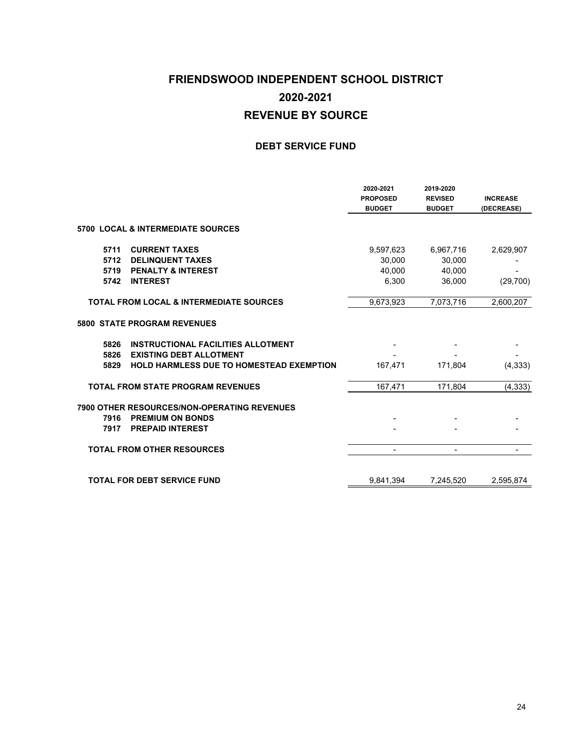### **FRIENDSWOOD INDEPENDENT SCHOOL DISTRICT REVENUE BY SOURCE 2020-2021**

#### **DEBT SERVICE FUND**

|                                                                                                                   | 2020-2021<br><b>PROPOSED</b><br><b>BUDGET</b> | 2019-2020<br><b>REVISED</b><br><b>BUDGET</b> | <b>INCREASE</b><br>(DECREASE) |
|-------------------------------------------------------------------------------------------------------------------|-----------------------------------------------|----------------------------------------------|-------------------------------|
| <b>5700 LOCAL &amp; INTERMEDIATE SOURCES</b>                                                                      |                                               |                                              |                               |
| <b>CURRENT TAXES</b><br>5711                                                                                      | 9,597,623                                     | 6,967,716                                    | 2,629,907                     |
| 5712<br><b>DELINQUENT TAXES</b>                                                                                   | 30,000                                        | 30,000                                       |                               |
| 5719<br><b>PENALTY &amp; INTEREST</b>                                                                             | 40,000                                        | 40,000                                       |                               |
| 5742<br><b>INTEREST</b>                                                                                           | 6,300                                         | 36,000                                       | (29,700)                      |
| <b>TOTAL FROM LOCAL &amp; INTERMEDIATE SOURCES</b>                                                                | 9,673,923                                     | 7,073,716                                    | 2,600,207                     |
| <b>5800 STATE PROGRAM REVENUES</b>                                                                                |                                               |                                              |                               |
| 5826<br><b>INSTRUCTIONAL FACILITIES ALLOTMENT</b>                                                                 |                                               |                                              |                               |
| 5826<br><b>EXISTING DEBT ALLOTMENT</b>                                                                            |                                               |                                              |                               |
| 5829<br><b>HOLD HARMLESS DUE TO HOMESTEAD EXEMPTION</b>                                                           | 167,471                                       | 171,804                                      | (4, 333)                      |
| <b>TOTAL FROM STATE PROGRAM REVENUES</b>                                                                          | 167,471                                       | 171.804                                      | (4, 333)                      |
| 7900 OTHER RESOURCES/NON-OPERATING REVENUES<br><b>PREMIUM ON BONDS</b><br>7916<br><b>PREPAID INTEREST</b><br>7917 |                                               |                                              |                               |
| <b>TOTAL FROM OTHER RESOURCES</b>                                                                                 |                                               |                                              |                               |
|                                                                                                                   |                                               |                                              |                               |
| <b>TOTAL FOR DEBT SERVICE FUND</b>                                                                                | 9,841,394                                     | 7,245,520                                    | 2,595,874                     |
|                                                                                                                   |                                               |                                              |                               |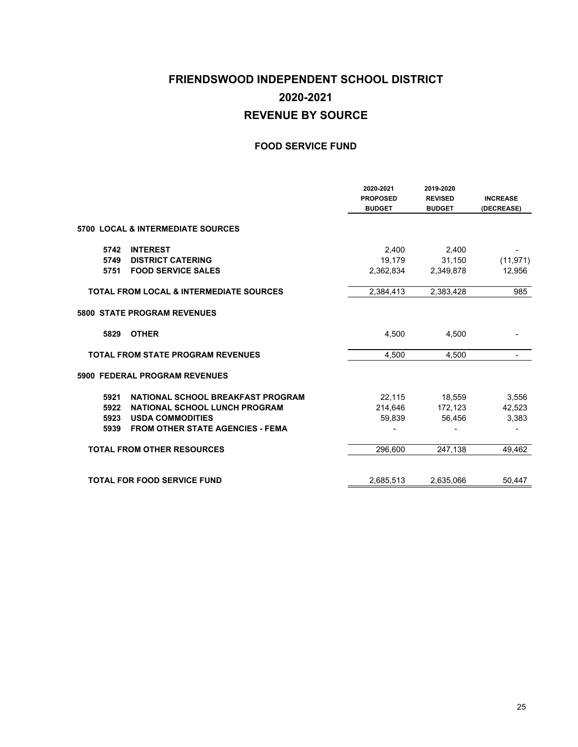### **FRIENDSWOOD INDEPENDENT SCHOOL DISTRICT 2020-2021 REVENUE BY SOURCE**

#### **FOOD SERVICE FUND**

|      |                                                    | 2020-2021<br><b>PROPOSED</b><br><b>BUDGET</b> | 2019-2020<br><b>REVISED</b><br><b>BUDGET</b> | <b>INCREASE</b><br>(DECREASE) |
|------|----------------------------------------------------|-----------------------------------------------|----------------------------------------------|-------------------------------|
|      | <b>5700 LOCAL &amp; INTERMEDIATE SOURCES</b>       |                                               |                                              |                               |
| 5742 | <b>INTEREST</b>                                    | 2,400                                         | 2,400                                        |                               |
| 5749 | <b>DISTRICT CATERING</b>                           | 19,179                                        | 31,150                                       | (11, 971)                     |
| 5751 | <b>FOOD SERVICE SALES</b>                          | 2.362.834                                     | 2,349,878                                    | 12,956                        |
|      | <b>TOTAL FROM LOCAL &amp; INTERMEDIATE SOURCES</b> | 2.384.413                                     | 2.383.428                                    | 985                           |
|      | <b>5800 STATE PROGRAM REVENUES</b>                 |                                               |                                              |                               |
| 5829 | <b>OTHER</b>                                       | 4,500                                         | 4,500                                        |                               |
|      | <b>TOTAL FROM STATE PROGRAM REVENUES</b>           | 4.500                                         | 4.500                                        |                               |
|      | 5900 FEDERAL PROGRAM REVENUES                      |                                               |                                              |                               |
| 5921 | NATIONAL SCHOOL BREAKFAST PROGRAM                  | 22,115                                        | 18,559                                       | 3,556                         |
| 5922 | <b>NATIONAL SCHOOL LUNCH PROGRAM</b>               | 214,646                                       | 172,123                                      | 42,523                        |
| 5923 | <b>USDA COMMODITIES</b>                            | 59,839                                        | 56,456                                       | 3,383                         |
| 5939 | <b>FROM OTHER STATE AGENCIES - FEMA</b>            |                                               |                                              |                               |
|      | <b>TOTAL FROM OTHER RESOURCES</b>                  | 296,600                                       | 247,138                                      | 49,462                        |
|      | <b>TOTAL FOR FOOD SERVICE FUND</b>                 | 2,685,513                                     | 2,635,066                                    | 50,447                        |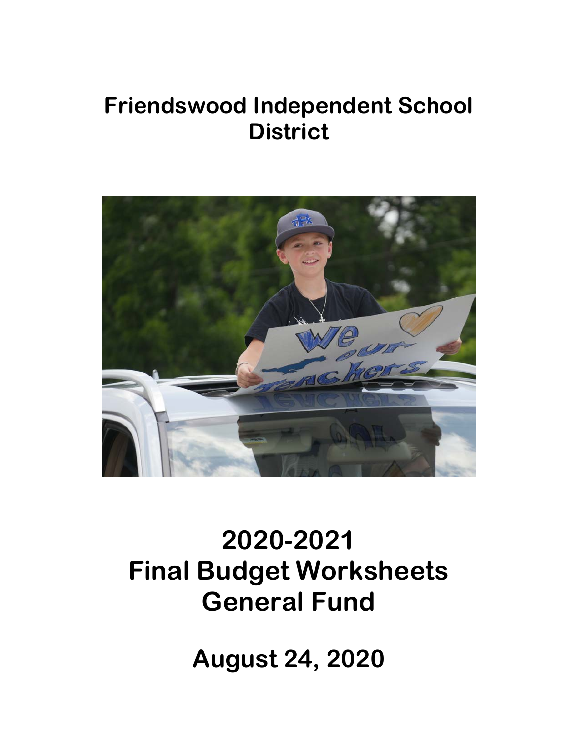## **Friendswood Independent School District**



# **2020-2021 Final Budget Worksheets General Fund**

**August 24, 2020**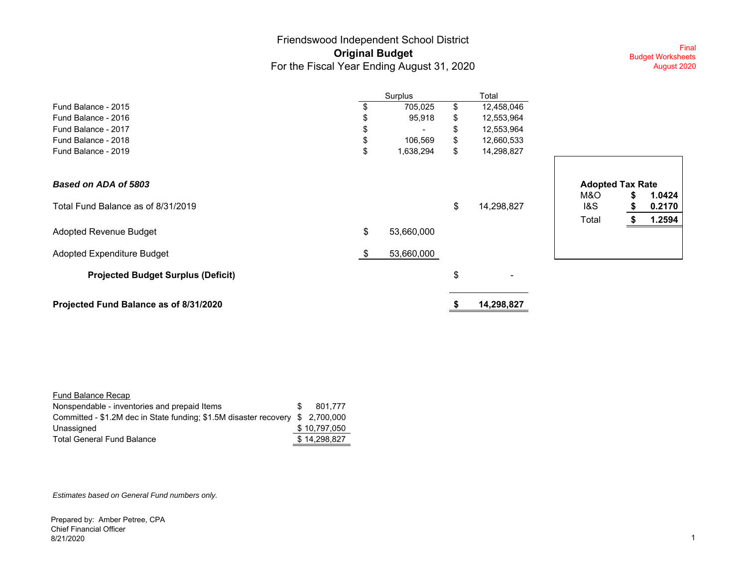### Friendswood Independent School District **Original Budget** For the Fiscal Year Ending August 31, 2020

Final Budget Worksheets August 2020

|                                           |    | Surplus    | Total            |                                                   |  |
|-------------------------------------------|----|------------|------------------|---------------------------------------------------|--|
| Fund Balance - 2015                       |    | 705,025    | \$<br>12,458,046 |                                                   |  |
| Fund Balance - 2016                       |    | 95,918     | \$<br>12,553,964 |                                                   |  |
| Fund Balance - 2017                       |    |            | \$<br>12,553,964 |                                                   |  |
| Fund Balance - 2018                       |    | 106,569    | \$<br>12,660,533 |                                                   |  |
| Fund Balance - 2019                       | \$ | 1,638,294  | \$<br>14,298,827 |                                                   |  |
| Based on ADA of 5803                      |    |            |                  | <b>Adopted Tax Rate</b>                           |  |
| Total Fund Balance as of 8/31/2019        |    |            | \$<br>14,298,827 | M&O<br>1.0424<br>1&S<br>0.2170<br>1.2594<br>Total |  |
| Adopted Revenue Budget                    | \$ | 53,660,000 |                  |                                                   |  |
| Adopted Expenditure Budget                | S. | 53,660,000 |                  |                                                   |  |
| <b>Projected Budget Surplus (Deficit)</b> |    |            | \$<br>۰          |                                                   |  |
| Projected Fund Balance as of 8/31/2020    |    |            | 14,298,827       |                                                   |  |

|       | <b>Adopted Tax Rate</b> |        |
|-------|-------------------------|--------|
| M&O   | \$                      | 1.0424 |
| 1&S   | S                       | 0.2170 |
| Total |                         | 1.2594 |

| Fund Balance Recap                                                            |              |
|-------------------------------------------------------------------------------|--------------|
| Nonspendable - inventories and prepaid Items                                  | 801.777      |
| Committed - \$1.2M dec in State funding; \$1.5M disaster recovery \$2,700,000 |              |
| Unassigned                                                                    | \$10,797,050 |
| <b>Total General Fund Balance</b>                                             | \$14.298.827 |

*Estimates based on General Fund numbers only.*

Prepared by: Amber Petree, CPA Chief Financial Officer 8/21/2020 $0$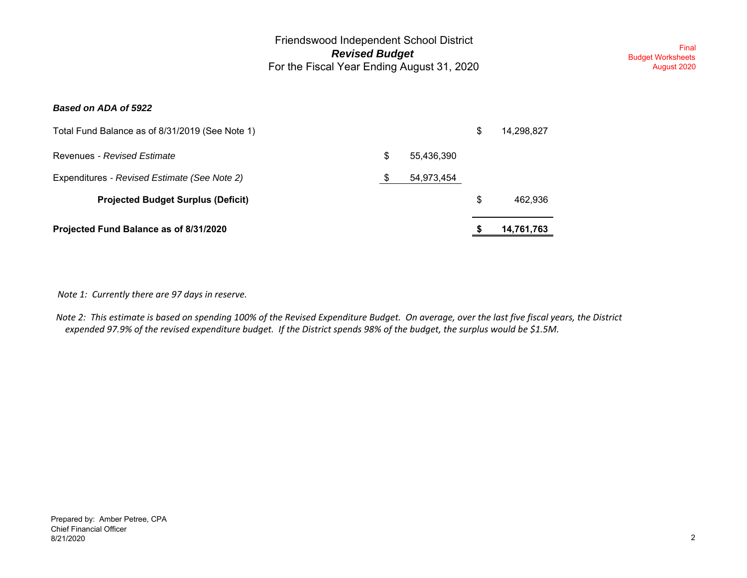Final Budget Worksheets August 2020

#### *Based on ADA of 5922*

| Projected Fund Balance as of 8/31/2020          |    |            | 14,761,763       |
|-------------------------------------------------|----|------------|------------------|
| <b>Projected Budget Surplus (Deficit)</b>       |    |            | \$<br>462.936    |
| Expenditures - Revised Estimate (See Note 2)    | -S | 54,973,454 |                  |
| Revenues - Revised Estimate                     | S  | 55,436,390 |                  |
| Total Fund Balance as of 8/31/2019 (See Note 1) |    |            | \$<br>14,298,827 |

 *Note 1: Currently there are 97 days in reserve.*

*Note 2: This estimate is based on spending 100% of the Revised Expenditure Budget. On average, over the last five fiscal years, the District expended 97.9% of the revised expenditure budget. If the District spends 98% of the budget, the surplus would be \$1.5M.*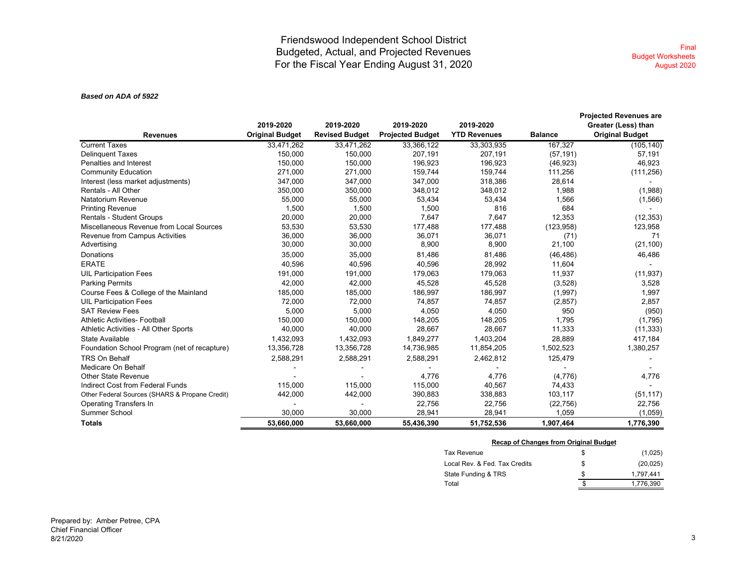#### *Based on ADA of 5922*

|                                                | 2019-2020              | 2019-2020             | 2019-2020               | 2019-2020           |                | <b>Projected Revenues are</b><br>Greater (Less) than |
|------------------------------------------------|------------------------|-----------------------|-------------------------|---------------------|----------------|------------------------------------------------------|
| <b>Revenues</b>                                | <b>Original Budget</b> | <b>Revised Budget</b> | <b>Projected Budget</b> | <b>YTD Revenues</b> | <b>Balance</b> | <b>Original Budget</b>                               |
| <b>Current Taxes</b>                           | 33,471,262             | 33,471,262            | 33,366,122              | 33,303,935          | 167,327        | (105, 140)                                           |
| <b>Delinquent Taxes</b>                        | 150,000                | 150,000               | 207,191                 | 207,191             | (57, 191)      | 57,191                                               |
| Penalties and Interest                         | 150,000                | 150,000               | 196,923                 | 196,923             | (46, 923)      | 46,923                                               |
| <b>Community Education</b>                     | 271,000                | 271,000               | 159,744                 | 159,744             | 111,256        | (111, 256)                                           |
| Interest (less market adjustments)             | 347,000                | 347,000               | 347,000                 | 318,386             | 28,614         |                                                      |
| Rentals - All Other                            | 350,000                | 350,000               | 348,012                 | 348,012             | 1.988          | (1,988)                                              |
| Natatorium Revenue                             | 55,000                 | 55,000                | 53,434                  | 53,434              | 1,566          | (1,566)                                              |
| <b>Printing Revenue</b>                        | 1,500                  | 1,500                 | 1,500                   | 816                 | 684            |                                                      |
| <b>Rentals - Student Groups</b>                | 20,000                 | 20,000                | 7,647                   | 7,647               | 12,353         | (12, 353)                                            |
| Miscellaneous Revenue from Local Sources       | 53,530                 | 53,530                | 177,488                 | 177,488             | (123, 958)     | 123,958                                              |
| Revenue from Campus Activities                 | 36,000                 | 36,000                | 36,071                  | 36,071              | (71)           | 71                                                   |
| Advertising                                    | 30,000                 | 30,000                | 8,900                   | 8,900               | 21,100         | (21, 100)                                            |
| Donations                                      | 35,000                 | 35,000                | 81,486                  | 81,486              | (46, 486)      | 46,486                                               |
| <b>ERATE</b>                                   | 40,596                 | 40,596                | 40,596                  | 28,992              | 11,604         |                                                      |
| <b>UIL Participation Fees</b>                  | 191,000                | 191,000               | 179,063                 | 179,063             | 11,937         | (11, 937)                                            |
| <b>Parking Permits</b>                         | 42,000                 | 42,000                | 45,528                  | 45,528              | (3,528)        | 3,528                                                |
| Course Fees & College of the Mainland          | 185,000                | 185,000               | 186,997                 | 186,997             | (1,997)        | 1,997                                                |
| <b>UIL Participation Fees</b>                  | 72,000                 | 72,000                | 74,857                  | 74,857              | (2,857)        | 2,857                                                |
| <b>SAT Review Fees</b>                         | 5,000                  | 5,000                 | 4,050                   | 4,050               | 950            | (950)                                                |
| <b>Athletic Activities- Football</b>           | 150,000                | 150,000               | 148,205                 | 148,205             | 1,795          | (1,795)                                              |
| Athletic Activities - All Other Sports         | 40,000                 | 40,000                | 28.667                  | 28,667              | 11,333         | (11, 333)                                            |
| State Available                                | 1,432,093              | 1,432,093             | 1,849,277               | 1,403,204           | 28,889         | 417,184                                              |
| Foundation School Program (net of recapture)   | 13,356,728             | 13,356,728            | 14,736,985              | 11,854,205          | 1,502,523      | 1,380,257                                            |
| TRS On Behalf                                  | 2,588,291              | 2,588,291             | 2,588,291               | 2,462,812           | 125,479        |                                                      |
| Medicare On Behalf                             |                        |                       |                         |                     |                |                                                      |
| Other State Revenue                            |                        |                       | 4,776                   | 4,776               | (4,776)        | 4,776                                                |
| Indirect Cost from Federal Funds               | 115,000                | 115,000               | 115,000                 | 40,567              | 74,433         |                                                      |
| Other Federal Sources (SHARS & Propane Credit) | 442,000                | 442,000               | 390,883                 | 338,883             | 103,117        | (51, 117)                                            |
| <b>Operating Transfers In</b>                  |                        |                       | 22,756                  | 22,756              | (22, 756)      | 22,756                                               |
| Summer School                                  | 30.000                 | 30.000                | 28,941                  | 28,941              | 1,059          | (1,059)                                              |
| <b>Totals</b>                                  | 53,660,000             | 53,660,000            | 55,436,390              | 51,752,536          | 1,907,464      | 1,776,390                                            |

#### **Recap of Changes from Original Budget**

| Tax Revenue                   |   | (1,025)   |
|-------------------------------|---|-----------|
| Local Rev. & Fed. Tax Credits | S | (20, 025) |
| State Funding & TRS           | S | 1.797.441 |
| Total                         |   | 1.776.390 |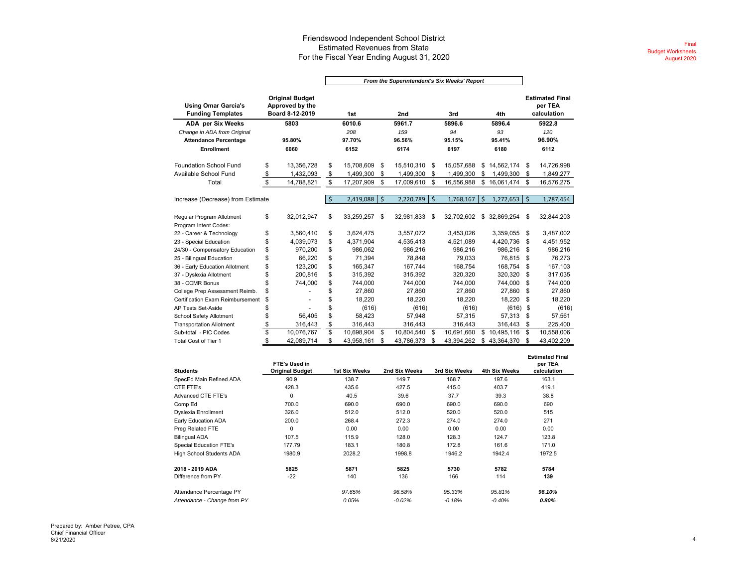#### Friendswood Independent School District Estimated Revenues from State For the Fiscal Year Ending August 31, 2020

|                                                        |                                                              |                    | From the Superintendent's Six Weeks' Report |                    |            |                    |            |        |              |                    |                                                  |
|--------------------------------------------------------|--------------------------------------------------------------|--------------------|---------------------------------------------|--------------------|------------|--------------------|------------|--------|--------------|--------------------|--------------------------------------------------|
| <b>Using Omar Garcia's</b><br><b>Funding Templates</b> | <b>Original Budget</b><br>Approved by the<br>Board 8-12-2019 |                    | 1st                                         |                    | 2nd        |                    | 3rd        |        | 4th          |                    | <b>Estimated Final</b><br>per TEA<br>calculation |
| <b>ADA per Six Weeks</b>                               | 5803                                                         |                    | 6010.6                                      |                    | 5961.7     | 5896.6             |            | 5896.4 |              |                    | 5922.8                                           |
| Change in ADA from Original                            |                                                              |                    | 208                                         |                    | 159        |                    | 94         |        | 93           |                    | 120                                              |
| <b>Attendance Percentage</b>                           | 95.80%                                                       |                    | 97.70%                                      |                    | 96.56%     |                    | 95.15%     |        | 95.41%       |                    | 96.90%                                           |
| <b>Enrollment</b>                                      | 6060                                                         |                    | 6152                                        |                    | 6174       |                    | 6197       | 6180   |              |                    | 6112                                             |
| Foundation School Fund                                 | \$<br>13,356,728                                             | \$                 | 15,708,609                                  | \$                 | 15,510,310 | - \$               | 15.057.688 | \$     | 14,562,174   | \$                 | 14,726,998                                       |
| Available School Fund                                  | \$<br>1,432,093                                              | \$                 | 1,499,300                                   | \$                 | 1,499,300  | -S                 | 1,499,300  | \$     | 1,499,300    | \$                 | 1,849,277                                        |
| Total                                                  | \$<br>14,788,821                                             | \$                 | 17,207,909                                  | \$                 | 17,009,610 | \$                 | 16,556,988 | \$     | 16,061,474   | \$                 | 16,576,275                                       |
|                                                        |                                                              |                    |                                             |                    |            |                    |            |        |              |                    |                                                  |
| Increase (Decrease) from Estimate                      |                                                              | $\mathsf{\hat{S}}$ | 2,419,088                                   | $\mathsf{\hat{S}}$ | 2,220,789  | $\mathsf{\dot{S}}$ | 1,768,167  | Ś      | 1,272,653    | $\dot{\mathsf{s}}$ | 1,787,454                                        |
|                                                        |                                                              |                    |                                             |                    |            |                    |            |        |              |                    |                                                  |
| Regular Program Allotment                              | \$<br>32,012,947                                             | \$                 | 33,259,257                                  | \$                 | 32,981,833 | - \$               | 32.702.602 |        | \$32,869,254 | \$                 | 32,844,203                                       |
| Program Intent Codes:                                  |                                                              |                    |                                             |                    |            |                    |            |        |              |                    |                                                  |
| 22 - Career & Technology                               | \$<br>3,560,410                                              | \$                 | 3,624,475                                   |                    | 3.557.072  |                    | 3,453,026  |        | 3,359,055    | \$                 | 3,487,002                                        |
| 23 - Special Education                                 | \$<br>4,039,073                                              | \$                 | 4,371,904                                   |                    | 4,535,413  |                    | 4,521,089  |        | 4.420.736    | \$                 | 4,451,952                                        |
| 24/30 - Compensatory Education                         | \$<br>970.200                                                | \$                 | 986.062                                     |                    | 986.216    |                    | 986.216    |        | 986.216      | \$                 | 986,216                                          |
| 25 - Bilingual Education                               | \$<br>66,220                                                 | \$                 | 71.394                                      |                    | 78,848     |                    | 79.033     |        | 76,815       | \$                 | 76,273                                           |
| 36 - Early Education Allotment                         | \$<br>123,200                                                | \$                 | 165,347                                     |                    | 167,744    |                    | 168,754    |        | 168,754      | \$                 | 167,103                                          |
| 37 - Dyslexia Allotment                                | \$<br>200,816                                                | \$                 | 315,392                                     |                    | 315,392    |                    | 320,320    |        | 320,320      | S                  | 317,035                                          |
| 38 - CCMR Bonus                                        | \$<br>744.000                                                | \$                 | 744.000                                     |                    | 744.000    |                    | 744,000    |        | 744,000      | \$                 | 744,000                                          |
| College Prep Assessment Reimb.                         | \$                                                           | \$                 | 27,860                                      |                    | 27,860     |                    | 27,860     |        | 27,860       | \$                 | 27,860                                           |
| <b>Certification Exam Reimbursement</b>                | \$                                                           | \$                 | 18.220                                      |                    | 18,220     |                    | 18,220     |        | 18.220       | \$                 | 18,220                                           |
| AP Tests Set-Aside                                     | \$                                                           | \$                 | (616)                                       |                    | (616)      |                    | (616)      |        | (616)        | \$                 | (616)                                            |
| School Safety Allotment                                | \$<br>56.405                                                 | \$                 | 58,423                                      |                    | 57,948     |                    | 57,315     |        | 57,313       | S                  | 57,561                                           |
| <b>Transportation Allotment</b>                        | \$<br>316,443                                                | \$                 | 316,443                                     |                    | 316,443    |                    | 316,443    |        | 316,443      | \$                 | 225,400                                          |
| Sub-total - PIC Codes                                  | \$<br>10,076,767                                             | \$                 | 10,698,904                                  | \$                 | 10,804,540 | - \$               | 10,691,660 |        | \$10,495,116 | \$                 | 10,558,006                                       |
| Total Cost of Tier 1                                   | \$<br>42,089,714                                             | \$                 | 43,958,161                                  | \$                 | 43,786,373 | \$                 | 43,394,262 | \$     | 43,364,370   | \$                 | 43,402,209                                       |

| <b>Students</b>             | FTE's Used in<br><b>Original Budget</b> | 1st Six Weeks | 2nd Six Weeks | 3rd Six Weeks | 4th Six Weeks | <b>Estimated Final</b><br>per TEA<br>calculation |
|-----------------------------|-----------------------------------------|---------------|---------------|---------------|---------------|--------------------------------------------------|
| SpecEd Main Refined ADA     | 90.9                                    | 138.7         | 149.7         | 168.7         | 197.6         | 163.1                                            |
| CTE FTE's                   | 428.3                                   | 435.6         | 427.5         | 415.0         | 403.7         | 419.1                                            |
| Advanced CTE FTE's          | 0                                       | 40.5          | 39.6          | 37.7          | 39.3          | 38.8                                             |
| Comp Ed                     | 700.0                                   | 690.0         | 690.0         | 690.0         | 690.0         | 690                                              |
| <b>Dyslexia Enrollment</b>  | 326.0                                   | 512.0         | 512.0         | 520.0         | 520.0         | 515                                              |
| Early Education ADA         | 200.0                                   | 268.4         | 272.3         | 274.0         | 274.0         | 271                                              |
| Preg Related FTE            | $\mathbf 0$                             | 0.00          | 0.00          | 0.00          | 0.00          | 0.00                                             |
| <b>Bilingual ADA</b>        | 107.5                                   | 115.9         | 128.0         | 128.3         | 124.7         | 123.8                                            |
| Special Education FTE's     | 177.79                                  | 183.1         | 180.8         | 172.8         | 161.6         | 171.0                                            |
| High School Students ADA    | 1980.9                                  | 2028.2        | 1998.8        | 1946.2        | 1942.4        | 1972.5                                           |
| 2018 - 2019 ADA             | 5825                                    | 5871          | 5825          | 5730          | 5782          | 5784                                             |
| Difference from PY          | $-22$                                   | 140           | 136           | 166           | 114           | 139                                              |
| Attendance Percentage PY    |                                         | 97.65%        | 96.58%        | 95.33%        | 95.81%        | 96.10%                                           |
| Attendance - Change from PY |                                         | 0.05%         | $-0.02%$      | $-0.18%$      | $-0.40%$      | 0.80%                                            |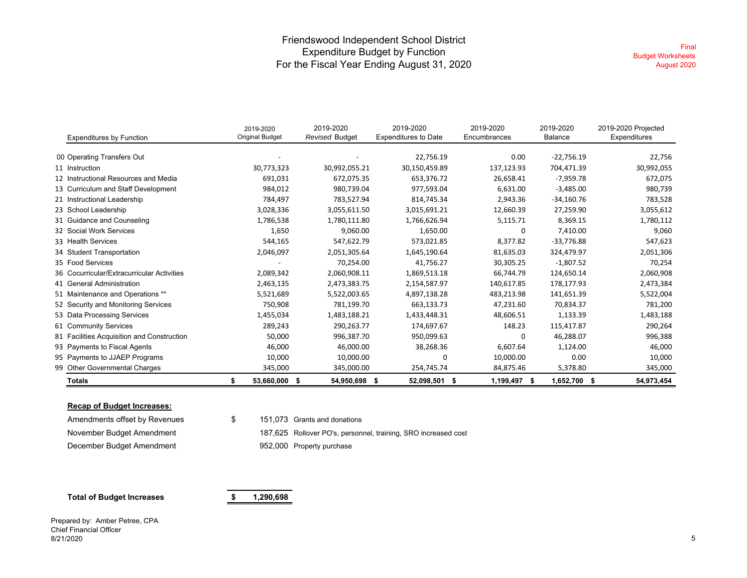#### Friendswood Independent School District Expenditure Budget by Function For the Fiscal Year Ending August 31, 2020

|                                            | 2019-2020<br><b>Original Budget</b> | 2019-2020<br><b>Revised Budget</b> | 2019-2020<br><b>Expenditures to Date</b> | 2019-2020<br>Encumbrances | 2019-2020<br>Balance | 2019-2020 Projected<br>Expenditures |
|--------------------------------------------|-------------------------------------|------------------------------------|------------------------------------------|---------------------------|----------------------|-------------------------------------|
| <b>Expenditures by Function</b>            |                                     |                                    |                                          |                           |                      |                                     |
| 00 Operating Transfers Out                 |                                     |                                    | 22,756.19                                | 0.00                      | $-22,756.19$         | 22,756                              |
| 11 Instruction                             | 30,773,323                          | 30,992,055.21                      | 30,150,459.89                            | 137,123.93                | 704,471.39           | 30,992,055                          |
| 12 Instructional Resources and Media       | 691,031                             | 672,075.35                         | 653,376.72                               | 26,658.41                 | -7,959.78            | 672,075                             |
| 13 Curriculum and Staff Development        | 984,012                             | 980,739.04                         | 977,593.04                               | 6,631.00                  | $-3,485.00$          | 980,739                             |
| 21 Instructional Leadership                | 784,497                             | 783,527.94                         | 814,745.34                               | 2,943.36                  | $-34,160.76$         | 783,528                             |
| 23 School Leadership                       | 3,028,336                           | 3,055,611.50                       | 3,015,691.21                             | 12,660.39                 | 27,259.90            | 3,055,612                           |
| 31 Guidance and Counseling                 | 1,786,538                           | 1,780,111.80                       | 1,766,626.94                             | 5,115.71                  | 8,369.15             | 1,780,112                           |
| 32 Social Work Services                    | 1,650                               | 9,060.00                           | 1,650.00                                 | 0                         | 7,410.00             | 9,060                               |
| 33 Health Services                         | 544,165                             | 547,622.79                         | 573,021.85                               | 8,377.82                  | $-33,776.88$         | 547,623                             |
| 34 Student Transportation                  | 2,046,097                           | 2,051,305.64                       | 1,645,190.64                             | 81,635.03                 | 324,479.97           | 2,051,306                           |
| 35 Food Services                           |                                     | 70,254.00                          | 41,756.27                                | 30,305.25                 | $-1,807.52$          | 70,254                              |
| 36 Cocurricular/Extracurricular Activities | 2,089,342                           | 2,060,908.11                       | 1,869,513.18                             | 66,744.79                 | 124,650.14           | 2,060,908                           |
| 41 General Administration                  | 2,463,135                           | 2,473,383.75                       | 2,154,587.97                             | 140,617.85                | 178,177.93           | 2,473,384                           |
| 51 Maintenance and Operations **           | 5,521,689                           | 5,522,003.65                       | 4,897,138.28                             | 483,213.98                | 141,651.39           | 5,522,004                           |
| 52 Security and Monitoring Services        | 750,908                             | 781,199.70                         | 663,133.73                               | 47,231.60                 | 70,834.37            | 781,200                             |
| 53 Data Processing Services                | 1,455,034                           | 1,483,188.21                       | 1,433,448.31                             | 48,606.51                 | 1,133.39             | 1,483,188                           |
| 61 Community Services                      | 289,243                             | 290,263.77                         | 174,697.67                               | 148.23                    | 115,417.87           | 290,264                             |
| 81 Facilities Acquisition and Construction | 50,000                              | 996,387.70                         | 950,099.63                               | 0                         | 46,288.07            | 996,388                             |
| 93 Payments to Fiscal Agents               | 46,000                              | 46,000.00                          | 38,268.36                                | 6,607.64                  | 1,124.00             | 46,000                              |
| 95 Payments to JJAEP Programs              | 10,000                              | 10,000.00                          | 0                                        | 10,000.00                 | 0.00                 | 10,000                              |
| 99 Other Governmental Charges              | 345,000                             | 345,000.00                         | 254,745.74                               | 84,875.46                 | 5,378.80             | 345,000                             |
| Totals                                     | \$<br>53,660,000<br>\$              | 54,950,698 \$                      | 52,098,501<br>- \$                       | 1,199,497 \$              | 1,652,700 \$         | 54,973,454                          |

#### **Recap of Budget Increases:**

| Amendments offset by Revenues | \$. | 151.073 Grants and donation |
|-------------------------------|-----|-----------------------------|
| November Budget Amendment     |     | 187,625 Rollover PO's, pers |
| December Budget Amendment     |     | 952,000 Property purchase   |

 $$$  151,073 Grants and donations

187,625 Rollover PO's, personnel, training, SRO increased cost

#### **Total of Budget Increases 1,290,698 \$**

Prepared by: Amber Petree, CPA Chief Financial Officer 8/21/2020 $\sim$  0  $\,$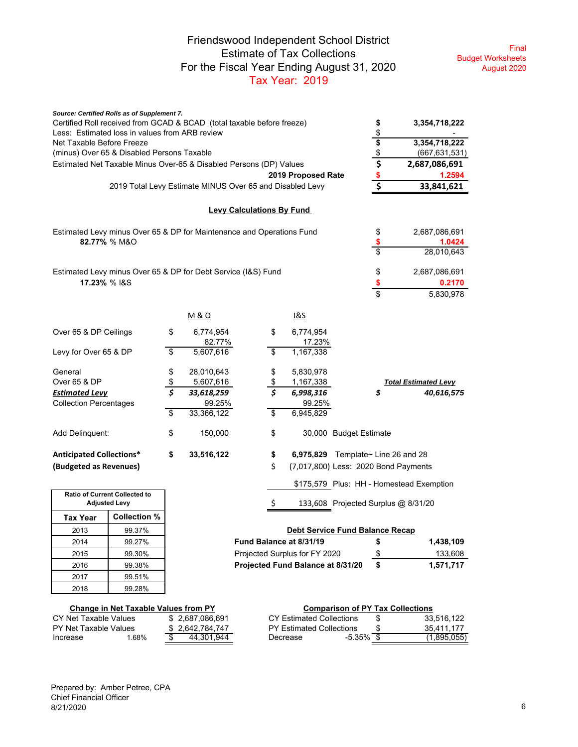### Friendswood Independent School District Estimate of Tax Collections For the Fiscal Year Ending August 31, 2020 Tax Year: 2019

Final Budget Worksheets August 2020

| Source: Certified Rolls as of Supplement 7.<br>Certified Roll received from GCAD & BCAD (total taxable before freeze)<br>Less: Estimated loss in values from ARB review |                                                          |              |                |                                  |                                   | \$<br>\$                                 | 3,354,718,222                            |         |
|-------------------------------------------------------------------------------------------------------------------------------------------------------------------------|----------------------------------------------------------|--------------|----------------|----------------------------------|-----------------------------------|------------------------------------------|------------------------------------------|---------|
| Net Taxable Before Freeze                                                                                                                                               |                                                          |              |                |                                  |                                   |                                          | 3,354,718,222                            |         |
| (minus) Over 65 & Disabled Persons Taxable                                                                                                                              |                                                          |              |                |                                  |                                   | $\frac{2}{3}$                            | (667, 631, 531)                          |         |
| Estimated Net Taxable Minus Over-65 & Disabled Persons (DP) Values                                                                                                      |                                                          |              |                |                                  |                                   | $\overline{\boldsymbol{\xi}}$            | 2,687,086,691                            |         |
|                                                                                                                                                                         |                                                          |              |                |                                  | 2019 Proposed Rate                |                                          |                                          | 1.2594  |
|                                                                                                                                                                         | 2019 Total Levy Estimate MINUS Over 65 and Disabled Levy |              |                |                                  |                                   | \$                                       | 33,841,621                               |         |
|                                                                                                                                                                         |                                                          |              |                | <b>Levy Calculations By Fund</b> |                                   |                                          |                                          |         |
| Estimated Levy minus Over 65 & DP for Maintenance and Operations Fund                                                                                                   |                                                          |              |                |                                  |                                   | \$                                       | 2,687,086,691                            |         |
| 82.77% % M&O                                                                                                                                                            |                                                          |              |                |                                  |                                   | \$                                       |                                          | 1.0424  |
|                                                                                                                                                                         |                                                          |              |                |                                  |                                   | \$                                       | 28,010,643                               |         |
| Estimated Levy minus Over 65 & DP for Debt Service (I&S) Fund                                                                                                           |                                                          |              |                |                                  |                                   | \$                                       | 2,687,086,691                            |         |
| 17.23% % I&S                                                                                                                                                            |                                                          |              |                |                                  |                                   | \$                                       |                                          | 0.2170  |
|                                                                                                                                                                         |                                                          |              |                |                                  |                                   | \$                                       | 5,830,978                                |         |
|                                                                                                                                                                         |                                                          |              | <u>M&amp;O</u> |                                  | 1&S                               |                                          |                                          |         |
| Over 65 & DP Ceilings                                                                                                                                                   |                                                          | \$           | 6,774,954      | \$                               | 6,774,954                         |                                          |                                          |         |
|                                                                                                                                                                         |                                                          |              | 82.77%         |                                  | 17.23%                            |                                          |                                          |         |
| Levy for Over 65 & DP                                                                                                                                                   |                                                          | \$           | 5,607,616      | \$                               | 1,167,338                         |                                          |                                          |         |
| General                                                                                                                                                                 |                                                          | \$           | 28,010,643     | \$                               | 5,830,978                         |                                          |                                          |         |
| Over 65 & DP                                                                                                                                                            |                                                          | $rac{\$}{5}$ | 5,607,616      | \$                               | 1,167,338                         |                                          | <b>Total Estimated Levy</b>              |         |
| <b>Estimated Levy</b>                                                                                                                                                   |                                                          |              | 33,618,259     | $\overline{\boldsymbol{s}}$      | 6,998,316                         |                                          | 40,616,575                               |         |
| <b>Collection Percentages</b>                                                                                                                                           |                                                          |              | 99.25%         |                                  | 99.25%                            |                                          |                                          |         |
|                                                                                                                                                                         |                                                          | \$           | 33,366,122     | \$                               | 6,945,829                         |                                          |                                          |         |
| Add Delinquent:                                                                                                                                                         |                                                          | \$           | 150,000        | \$                               |                                   | 30,000 Budget Estimate                   |                                          |         |
| <b>Anticipated Collections*</b>                                                                                                                                         |                                                          | \$           | 33,516,122     | \$                               |                                   | 6,975,829 Template $\sim$ Line 26 and 28 |                                          |         |
| (Budgeted as Revenues)                                                                                                                                                  |                                                          |              |                | \$                               |                                   |                                          | (7,017,800) Less: 2020 Bond Payments     |         |
|                                                                                                                                                                         |                                                          |              |                |                                  |                                   |                                          | \$175,579 Plus: HH - Homestead Exemption |         |
| Ratio of Current Collected to                                                                                                                                           |                                                          |              |                |                                  |                                   |                                          |                                          |         |
| <b>Adjusted Levy</b>                                                                                                                                                    |                                                          |              |                | $\zeta$                          |                                   |                                          | 133,608 Projected Surplus @ 8/31/20      |         |
| <b>Tax Year</b>                                                                                                                                                         | <b>Collection %</b>                                      |              |                |                                  |                                   |                                          |                                          |         |
| 2013                                                                                                                                                                    | 99.37%                                                   |              |                |                                  |                                   | <b>Debt Service Fund Balance Recap</b>   |                                          |         |
| 2014                                                                                                                                                                    | 99.27%                                                   |              |                | Fund Balance at 8/31/19          |                                   | \$                                       | 1,438,109                                |         |
| 2015                                                                                                                                                                    | 99.30%                                                   |              |                |                                  | Projected Surplus for FY 2020     | \$                                       |                                          | 133,608 |
| 2016                                                                                                                                                                    | 99.38%                                                   |              |                |                                  | Projected Fund Balance at 8/31/20 | \$                                       | 1,571,717                                |         |
| 2017                                                                                                                                                                    | 99.51%                                                   |              |                |                                  |                                   |                                          |                                          |         |
| 2018                                                                                                                                                                    | 99.28%                                                   |              |                |                                  |                                   |                                          |                                          |         |

|                         | <b>Change in Net Taxable Values from PY</b> |                 | <b>Comparison of PY Tax Collections</b> |              |      |             |  |  |  |
|-------------------------|---------------------------------------------|-----------------|-----------------------------------------|--------------|------|-------------|--|--|--|
| CY Net Taxable Values   |                                             | \$2.687.086.691 | CY Estimated Collections                |              | - 56 | 33.516.122  |  |  |  |
| - PY Net Taxable Values |                                             | \$2.642.784.747 | PY Estimated Collections                |              |      | 35.411.177  |  |  |  |
| Increase                | .68%                                        | 44.301.944      | Decrease                                | $-5.35\%$ \$ |      | (1,895,055) |  |  |  |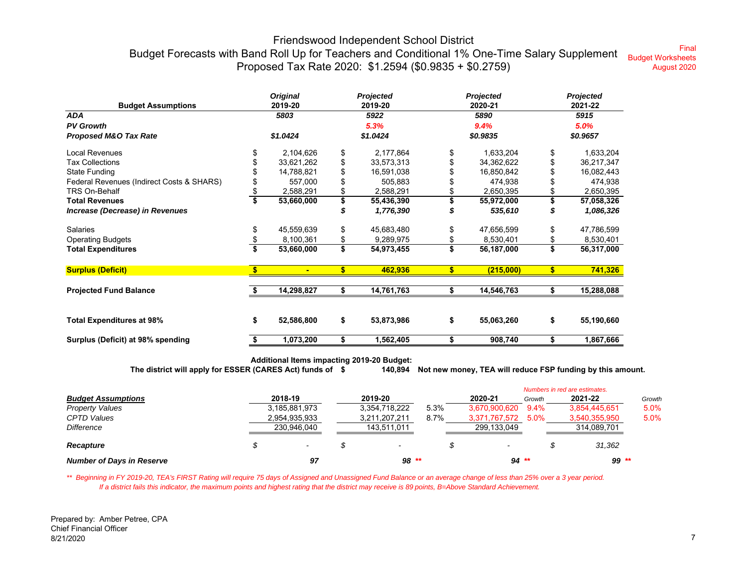#### Friendswood Independent School District Budget Forecasts with Band Roll Up for Teachers and Conditional 1% One-Time Salary Supplement Proposed Tax Rate 2020: \$1.2594 (\$0.9835 + \$0.2759) Final Budget Worksheets August 2020

| <b>Budget Assumptions</b>                 | <b>Original</b><br>2019-20 |                |          | Projected<br>2019-20 |     | Projected<br>2020-21 | Projected<br>2021-22 |            |
|-------------------------------------------|----------------------------|----------------|----------|----------------------|-----|----------------------|----------------------|------------|
| <b>ADA</b>                                |                            | 5803           |          | 5922                 |     | 5890                 |                      | 5915       |
| <b>PV Growth</b>                          |                            |                |          | 5.3%                 |     | 9.4%                 |                      | 5.0%       |
| Proposed M&O Tax Rate                     | \$1.0424                   |                | \$1.0424 |                      |     | \$0.9835             | \$0.9657             |            |
| Local Revenues                            |                            | 2,104,626      | \$       | 2,177,864            | \$  | 1,633,204            | \$                   | 1,633,204  |
| <b>Tax Collections</b>                    |                            | 33,621,262     | \$       | 33,573,313           |     | 34,362,622           |                      | 36,217,347 |
| <b>State Funding</b>                      |                            | 14,788,821     |          | 16,591,038           |     | 16,850,842           |                      | 16,082,443 |
| Federal Revenues (Indirect Costs & SHARS) |                            | 557,000        |          | 505,883              |     | 474,938              |                      | 474,938    |
| TRS On-Behalf                             |                            | 2,588,291      |          | 2,588,291            |     | 2,650,395            |                      | 2,650,395  |
| <b>Total Revenues</b>                     |                            | 53,660,000     |          | 55,436,390           |     | 55,972,000           |                      | 57,058,326 |
| Increase (Decrease) in Revenues           |                            |                |          | 1,776,390            |     | 535,610              |                      | 1,086,326  |
| Salaries                                  |                            | 45,559,639     | \$       | 45,683,480           | \$  | 47,656,599           |                      | 47,786,599 |
| <b>Operating Budgets</b>                  |                            | 8,100,361      |          | 9,289,975            |     | 8,530,401            |                      | 8,530,401  |
| <b>Total Expenditures</b>                 |                            | 53,660,000     | \$       | 54,973,455           | \$  | 56,187,000           |                      | 56,317,000 |
| <b>Surplus (Deficit)</b>                  | \$                         | $\blacksquare$ | \$       | 462,936              | \$. | (215,000)            | \$                   | 741,326    |
| <b>Projected Fund Balance</b>             |                            | 14,298,827     |          | 14,761,763           |     | 14,546,763           |                      | 15,288,088 |
|                                           |                            |                |          |                      |     |                      |                      |            |
| <b>Total Expenditures at 98%</b>          | \$                         | 52,586,800     | \$       | 53,873,986           | \$  | 55,063,260           | \$                   | 55,190,660 |
| Surplus (Deficit) at 98% spending         | \$                         | 1,073,200      | \$       | 1,562,405            | \$  | 908,740              | \$                   | 1,867,666  |

**Additional Items impacting 2019-20 Budget: The district will apply for ESSER (CARES Act) funds of 140,894 \$ Not new money, TEA will reduce FSP funding by this amount.**

|                                  |                          |               |      |                          |         | Numbers in red are estimates. |        |
|----------------------------------|--------------------------|---------------|------|--------------------------|---------|-------------------------------|--------|
| <b>Budget Assumptions</b>        | 2018-19                  | 2019-20       |      | 2020-21                  | Growth  | 2021-22                       | Growth |
| <b>Property Values</b>           | 3,185,881,973            | 3,354,718,222 | 5.3% | 3,670,900,620            | $9.4\%$ | 3,854,445,651                 | 5.0%   |
| <b>CPTD Values</b>               | 2,954,935,933            | 3,211,207,211 | 8.7% | 3.371.767.572            | $5.0\%$ | 3,540,355,950                 | 5.0%   |
| <b>Difference</b>                | 230.946.040              | 143,511,011   |      | 299,133,049              |         | 314,089,701                   |        |
| <b>Recapture</b>                 | $\overline{\phantom{a}}$ |               |      | $\overline{\phantom{a}}$ |         | 31.362                        |        |
| <b>Number of Days in Reserve</b> | 97                       | $98**$        |      |                          | $94**$  | $99**$                        |        |

\*\* Beginning in FY 2019-20, TEA's FIRST Rating will require 75 days of Assigned and Unassigned Fund Balance or an average change of less than 25% over a 3 year period.  *If a district fails this indicator, the maximum points and highest rating that the district may receive is 89 points, B=Above Standard Achievement.*

Prepared by: Amber Petree, CPA Chief Financial Officer 8/21/2020 $\sim$  0 and 2 and 2 and 2 and 2 and 2 and 2 and 2 and 2 and 2 and 2 and 2 and 2 and 2 and 2 and 2 and 2 and 2 and 2 and 2 and 2 and 2 and 2 and 2 and 2 and 2 and 2 and 2 and 2 and 2 and 2 and 2 and 2 and 2 and 2 and 2 and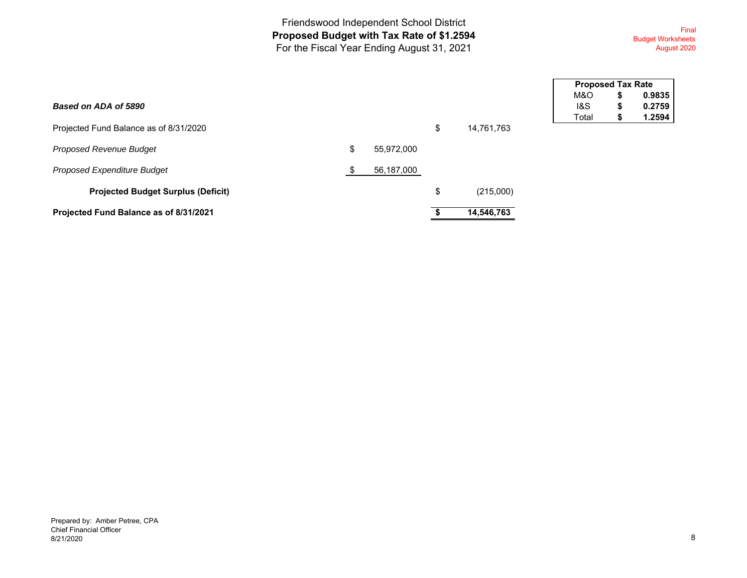Friendswood Independent School District **Proposed Budget with Tax Rate of \$1.2594**  For the Fiscal Year Ending August 31, 2021

Final Budget Worksheets August 2020

| Based on ADA of 5890                      |                  |                  | M&0<br>1&S |
|-------------------------------------------|------------------|------------------|------------|
| Projected Fund Balance as of 8/31/2020    |                  | \$<br>14,761,763 | Tota       |
| <b>Proposed Revenue Budget</b>            | \$<br>55,972,000 |                  |            |
| Proposed Expenditure Budget               | 56,187,000       |                  |            |
| <b>Projected Budget Surplus (Deficit)</b> |                  | \$<br>(215,000)  |            |
| Projected Fund Balance as of 8/31/2021    |                  | 14,546,763       |            |

| <b>Proposed Tax Rate</b> |    |        |  |  |  |  |  |  |
|--------------------------|----|--------|--|--|--|--|--|--|
| M&O                      | \$ | 0.9835 |  |  |  |  |  |  |
| 1&S                      | \$ | 0.2759 |  |  |  |  |  |  |
| Total                    | \$ | 1.2594 |  |  |  |  |  |  |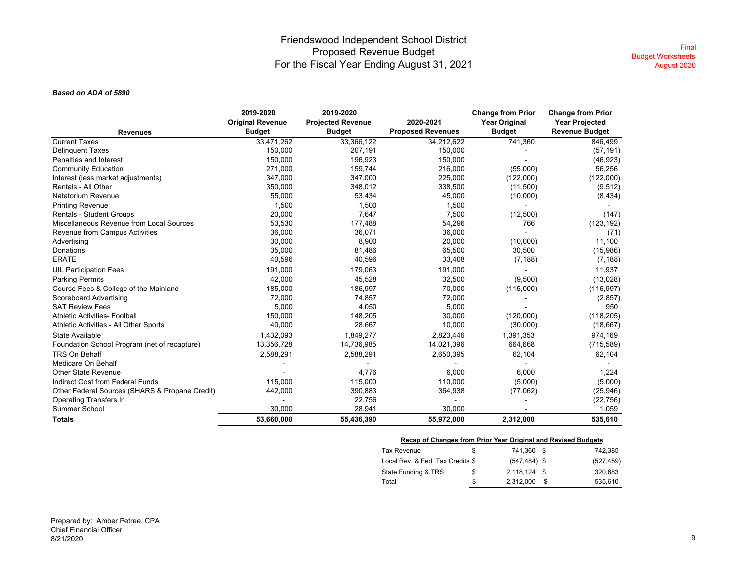#### Friendswood Independent School District Proposed Revenue Budget For the Fiscal Year Ending August 31, 2021

#### *Based on ADA of 5890*

|                                                | 2019-2020               | 2019-2020                |                          | <b>Change from Prior</b> | <b>Change from Prior</b> |
|------------------------------------------------|-------------------------|--------------------------|--------------------------|--------------------------|--------------------------|
|                                                | <b>Original Revenue</b> | <b>Projected Revenue</b> | 2020-2021                | <b>Year Original</b>     | <b>Year Projected</b>    |
| <b>Revenues</b>                                | <b>Budget</b>           | <b>Budget</b>            | <b>Proposed Revenues</b> | <b>Budget</b>            | <b>Revenue Budget</b>    |
| <b>Current Taxes</b>                           | 33,471,262              | 33,366,122               | 34,212,622               | 741,360                  | 846,499                  |
| <b>Delinguent Taxes</b>                        | 150,000                 | 207,191                  | 150,000                  |                          | (57, 191)                |
| Penalties and Interest                         | 150,000                 | 196,923                  | 150,000                  |                          | (46, 923)                |
| <b>Community Education</b>                     | 271.000                 | 159,744                  | 216,000                  | (55,000)                 | 56,256                   |
| Interest (less market adjustments)             | 347,000                 | 347,000                  | 225,000                  | (122,000)                | (122,000)                |
| Rentals - All Other                            | 350,000                 | 348,012                  | 338,500                  | (11,500)                 | (9,512)                  |
| Natatorium Revenue                             | 55,000                  | 53,434                   | 45,000                   | (10,000)                 | (8, 434)                 |
| <b>Printing Revenue</b>                        | 1,500                   | 1,500                    | 1,500                    |                          |                          |
| Rentals - Student Groups                       | 20,000                  | 7,647                    | 7,500                    | (12, 500)                | (147)                    |
| Miscellaneous Revenue from Local Sources       | 53,530                  | 177,488                  | 54,296                   | 766                      | (123, 192)               |
| Revenue from Campus Activities                 | 36,000                  | 36,071                   | 36,000                   |                          | (71)                     |
| Advertising                                    | 30,000                  | 8,900                    | 20,000                   | (10,000)                 | 11,100                   |
| Donations                                      | 35,000                  | 81,486                   | 65,500                   | 30,500                   | (15,986)                 |
| <b>ERATE</b>                                   | 40,596                  | 40,596                   | 33,408                   | (7, 188)                 | (7, 188)                 |
| <b>UIL Participation Fees</b>                  | 191,000                 | 179,063                  | 191,000                  |                          | 11,937                   |
| <b>Parking Permits</b>                         | 42,000                  | 45,528                   | 32,500                   | (9,500)                  | (13,028)                 |
| Course Fees & College of the Mainland          | 185,000                 | 186,997                  | 70,000                   | (115,000)                | (116, 997)               |
| <b>Scoreboard Advertising</b>                  | 72,000                  | 74,857                   | 72,000                   |                          | (2, 857)                 |
| <b>SAT Review Fees</b>                         | 5,000                   | 4,050                    | 5,000                    |                          | 950                      |
| <b>Athletic Activities- Football</b>           | 150,000                 | 148,205                  | 30,000                   | (120,000)                | (118, 205)               |
| Athletic Activities - All Other Sports         | 40,000                  | 28,667                   | 10,000                   | (30,000)                 | (18,667)                 |
| State Available                                | 1,432,093               | 1,849,277                | 2,823,446                | 1,391,353                | 974,169                  |
| Foundation School Program (net of recapture)   | 13,356,728              | 14,736,985               | 14,021,396               | 664,668                  | (715, 589)               |
| <b>TRS On Behalf</b>                           | 2,588,291               | 2,588,291                | 2,650,395                | 62,104                   | 62,104                   |
| Medicare On Behalf                             |                         |                          |                          |                          |                          |
| <b>Other State Revenue</b>                     |                         | 4,776                    | 6,000                    | 6.000                    | 1,224                    |
| Indirect Cost from Federal Funds               | 115,000                 | 115,000                  | 110,000                  | (5,000)                  | (5,000)                  |
| Other Federal Sources (SHARS & Propane Credit) | 442,000                 | 390,883                  | 364,938                  | (77,062)                 | (25, 946)                |
| <b>Operating Transfers In</b>                  |                         | 22,756                   |                          |                          | (22, 756)                |
| <b>Summer School</b>                           | 30.000                  | 28,941                   | 30,000                   |                          | 1,059                    |
| <b>Totals</b>                                  | 53,660,000              | 55,436,390               | 55,972,000               | 2,312,000                | 535,610                  |

| <b>Recap of Changes from Prior Year Original and Revised Budgets</b> |    |                |               |
|----------------------------------------------------------------------|----|----------------|---------------|
| <b>Tax Revenue</b>                                                   | \$ | 741.360 \$     | 742.385       |
| Local Rev. & Fed. Tax Credits \$                                     |    | $(547.484)$ \$ | (527, 459)    |
| State Funding & TRS                                                  | S  | 2.118.124 \$   | 320.683       |
| Total                                                                | \$ | 2.312.000      | \$<br>535.610 |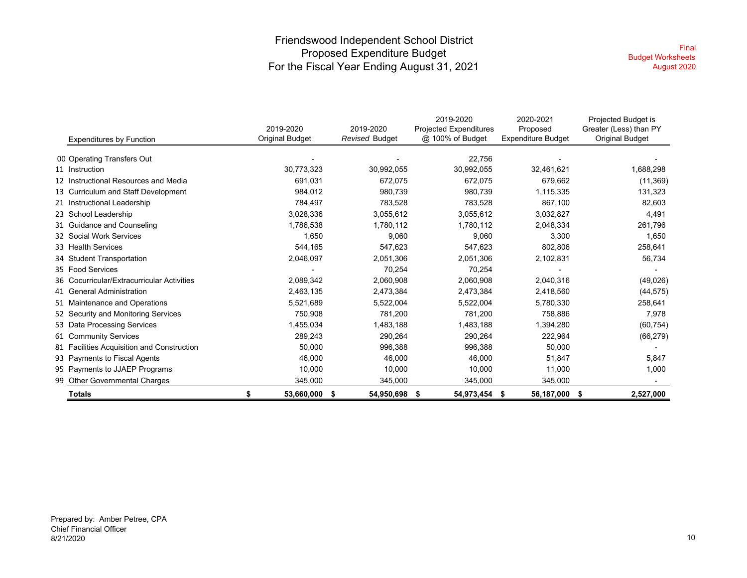### Friendswood Independent School District Proposed Expenditure Budget For the Fiscal Year Ending August 31, 2021

| <b>Expenditures by Function</b>            | 2019-2020<br>Original Budget | 2019-2020<br>Revised Budget | 2019-2020<br><b>Projected Expenditures</b><br>@ 100% of Budget | 2020-2021<br>Proposed<br><b>Expenditure Budget</b> | Projected Budget is<br>Greater (Less) than PY<br><b>Original Budget</b> |
|--------------------------------------------|------------------------------|-----------------------------|----------------------------------------------------------------|----------------------------------------------------|-------------------------------------------------------------------------|
| 00 Operating Transfers Out                 |                              |                             | 22,756                                                         |                                                    |                                                                         |
| 11 Instruction                             | 30,773,323                   | 30,992,055                  | 30,992,055                                                     | 32,461,621                                         | 1,688,298                                                               |
| 12 Instructional Resources and Media       | 691,031                      | 672,075                     | 672,075                                                        | 679,662                                            | (11, 369)                                                               |
| 13 Curriculum and Staff Development        | 984,012                      | 980,739                     | 980,739                                                        | 1,115,335                                          | 131,323                                                                 |
| 21 Instructional Leadership                | 784,497                      | 783,528                     | 783,528                                                        | 867,100                                            | 82,603                                                                  |
| 23 School Leadership                       | 3,028,336                    | 3,055,612                   | 3,055,612                                                      | 3,032,827                                          | 4,491                                                                   |
| 31 Guidance and Counseling                 | 1,786,538                    | 1,780,112                   | 1,780,112                                                      | 2,048,334                                          | 261,796                                                                 |
| 32 Social Work Services                    | 1,650                        | 9,060                       | 9,060                                                          | 3,300                                              | 1,650                                                                   |
| 33 Health Services                         | 544,165                      | 547,623                     | 547,623                                                        | 802,806                                            | 258,641                                                                 |
| 34 Student Transportation                  | 2,046,097                    | 2,051,306                   | 2,051,306                                                      | 2,102,831                                          | 56,734                                                                  |
| 35 Food Services                           |                              | 70,254                      | 70,254                                                         |                                                    |                                                                         |
| 36 Cocurricular/Extracurricular Activities | 2,089,342                    | 2,060,908                   | 2,060,908                                                      | 2,040,316                                          | (49, 026)                                                               |
| 41 General Administration                  | 2,463,135                    | 2,473,384                   | 2,473,384                                                      | 2,418,560                                          | (44, 575)                                                               |
| 51 Maintenance and Operations              | 5,521,689                    | 5,522,004                   | 5,522,004                                                      | 5,780,330                                          | 258,641                                                                 |
| 52 Security and Monitoring Services        | 750,908                      | 781,200                     | 781,200                                                        | 758,886                                            | 7,978                                                                   |
| 53 Data Processing Services                | 1,455,034                    | 1,483,188                   | 1,483,188                                                      | 1,394,280                                          | (60, 754)                                                               |
| 61 Community Services                      | 289,243                      | 290,264                     | 290,264                                                        | 222,964                                            | (66, 279)                                                               |
| 81 Facilities Acquisition and Construction | 50,000                       | 996,388                     | 996,388                                                        | 50,000                                             |                                                                         |
| 93 Payments to Fiscal Agents               | 46,000                       | 46,000                      | 46,000                                                         | 51,847                                             | 5,847                                                                   |
| 95 Payments to JJAEP Programs              | 10,000                       | 10,000                      | 10,000                                                         | 11,000                                             | 1,000                                                                   |
| 99 Other Governmental Charges              | 345,000                      | 345,000                     | 345,000                                                        | 345,000                                            |                                                                         |
| <b>Totals</b>                              | 53,660,000                   | 54,950,698 \$<br>- \$       | 54,973,454                                                     | 56,187,000<br>\$                                   | - \$<br>2,527,000                                                       |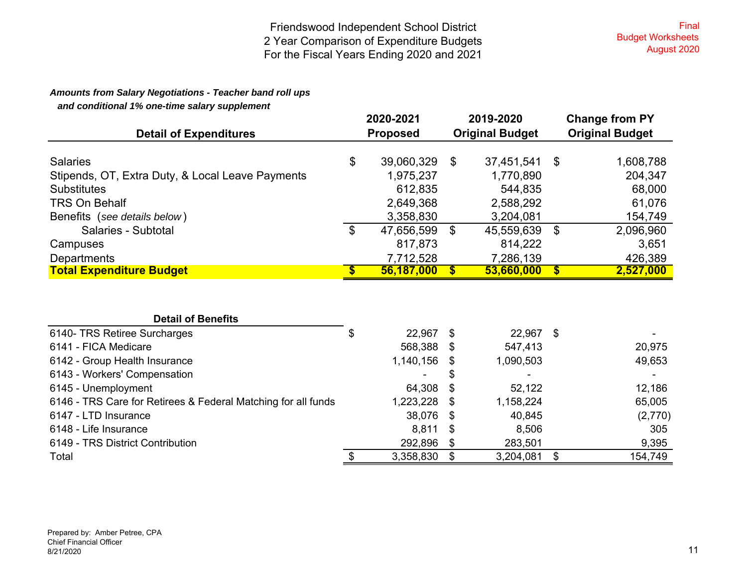### *Amounts from Salary Negotiations - Teacher band roll ups*

 *and conditional 1% one-time salary supplement*

| <b>Detail of Expenditures</b>                    |                   | 2020-2021<br><b>Proposed</b> | 2019-2020<br><b>Original Budget</b> |            |              | <b>Change from PY</b><br><b>Original Budget</b> |  |  |
|--------------------------------------------------|-------------------|------------------------------|-------------------------------------|------------|--------------|-------------------------------------------------|--|--|
|                                                  |                   |                              |                                     |            |              |                                                 |  |  |
| <b>Salaries</b>                                  | \$                | 39,060,329                   | \$                                  | 37,451,541 | -\$          | 1,608,788                                       |  |  |
| Stipends, OT, Extra Duty, & Local Leave Payments |                   | 1,975,237                    |                                     | 1,770,890  |              | 204,347                                         |  |  |
| <b>Substitutes</b>                               |                   | 612,835                      |                                     | 544,835    |              | 68,000                                          |  |  |
| <b>TRS On Behalf</b>                             |                   | 2,649,368                    |                                     | 2,588,292  |              | 61,076                                          |  |  |
| Benefits (see details below)                     |                   | 3,358,830                    |                                     | 3,204,081  |              | 154,749                                         |  |  |
| Salaries - Subtotal                              | \$                | 47,656,599                   | \$                                  | 45,559,639 | \$           | 2,096,960                                       |  |  |
| Campuses                                         |                   | 817,873                      |                                     | 814,222    |              | 3,651                                           |  |  |
| Departments                                      |                   | 7,712,528                    |                                     | 7,286,139  |              | 426,389                                         |  |  |
| <b>Total Expenditure Budget</b>                  | $\boldsymbol{\$}$ | 56,187,000                   | $\mathbf{s}$                        | 53,660,000 | $\mathbf{s}$ | 2,527,000                                       |  |  |
|                                                  |                   |                              |                                     |            |              |                                                 |  |  |
| <b>Detail of Benefits</b>                        |                   |                              |                                     |            |              |                                                 |  |  |
| 6140- TRS Retiree Surcharges                     | \$                | 22,967                       | -\$                                 | 22,967 \$  |              |                                                 |  |  |
| 6141 - FICA Medicare                             |                   | 568,388                      | -SS                                 | 547,413    |              | 20,975                                          |  |  |
| 6142 - Group Health Insurance                    |                   | 1,140,156                    | \$                                  | 1,090,503  |              | 49,653                                          |  |  |

| 6140- TRS Retiree Surcharges                                  | \$<br>22,967 |      | 22,967    |                |
|---------------------------------------------------------------|--------------|------|-----------|----------------|
| 6141 - FICA Medicare                                          | 568,388      | S    | 547,413   | 20,975         |
| 6142 - Group Health Insurance                                 | 1,140,156    | -S   | 1,090,503 | 49,653         |
| 6143 - Workers' Compensation                                  |              | \$   |           | $\blacksquare$ |
| 6145 - Unemployment                                           | 64,308       | - \$ | 52,122    | 12,186         |
| 6146 - TRS Care for Retirees & Federal Matching for all funds | 1,223,228    | -S   | 1,158,224 | 65,005         |
| 6147 - LTD Insurance                                          | 38,076       | -S   | 40,845    | (2,770)        |
| 6148 - Life Insurance                                         | 8,811        | - \$ | 8,506     | 305            |
| 6149 - TRS District Contribution                              | 292,896      |      | 283,501   | 9,395          |
| Total                                                         | 3,358,830    |      | 3,204,081 | 154,749        |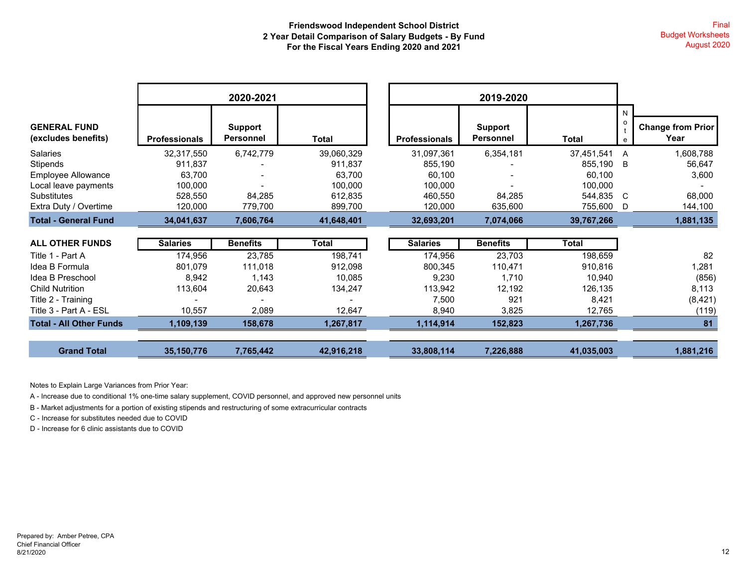|                                            |                      | 2020-2021                          |            |                      | 2019-2020                   |              |                   |                                  |
|--------------------------------------------|----------------------|------------------------------------|------------|----------------------|-----------------------------|--------------|-------------------|----------------------------------|
| <b>GENERAL FUND</b><br>(excludes benefits) | <b>Professionals</b> | <b>Support</b><br><b>Personnel</b> | Total      | <b>Professionals</b> | Support<br><b>Personnel</b> | Total        | N<br>$\circ$<br>e | <b>Change from Prior</b><br>Year |
| Salaries                                   | 32,317,550           | 6,742,779                          | 39,060,329 | 31,097,361           | 6,354,181                   | 37,451,541   | A                 | 1,608,788                        |
| Stipends                                   | 911.837              |                                    | 911,837    | 855,190              |                             | 855,190      | B                 | 56,647                           |
| Employee Allowance                         | 63,700               |                                    | 63,700     | 60,100               |                             | 60,100       |                   | 3,600                            |
| Local leave payments                       | 100,000              |                                    | 100,000    | 100,000              |                             | 100,000      |                   |                                  |
| <b>Substitutes</b>                         | 528,550              | 84,285                             | 612,835    | 460,550              | 84,285                      | 544,835      | C                 | 68,000                           |
| Extra Duty / Overtime                      | 120,000              | 779,700                            | 899,700    | 120,000              | 635,600                     | 755,600      | D                 | 144,100                          |
| <b>Total - General Fund</b>                | 34,041,637           | 7,606,764                          | 41,648,401 | 32,693,201           | 7,074,066                   | 39,767,266   |                   | 1,881,135                        |
|                                            |                      |                                    |            |                      |                             |              |                   |                                  |
| <b>ALL OTHER FUNDS</b>                     | <b>Salaries</b>      | <b>Benefits</b>                    | Total      | <b>Salaries</b>      | <b>Benefits</b>             | <b>Total</b> |                   |                                  |
| Title 1 - Part A                           | 174,956              | 23,785                             | 198,741    | 174,956              | 23,703                      | 198,659      |                   | 82                               |
| Idea B Formula                             | 801,079              | 111,018                            | 912,098    | 800,345              | 110,471                     | 910,816      |                   | 1,281                            |
| Idea B Preschool                           | 8,942                | 1,143                              | 10,085     | 9,230                | 1,710                       | 10,940       |                   | (856)                            |
| <b>Child Nutrition</b>                     | 113,604              | 20,643                             | 134,247    | 113,942              | 12,192                      | 126,135      |                   | 8,113                            |
| Title 2 - Training                         |                      |                                    |            | 7,500                | 921                         | 8,421        |                   | (8,421)                          |
| Title 3 - Part A - ESL                     | 10,557               | 2,089                              | 12,647     | 8,940                | 3,825                       | 12,765       |                   | (119)                            |
| <b>Total - All Other Funds</b>             | 1,109,139            | 158,678                            | 1,267,817  | 1,114,914            | 152,823                     | 1,267,736    |                   | 81                               |
| <b>Grand Total</b>                         | 35, 150, 776         | 7,765,442                          | 42,916,218 | 33,808,114           | 7,226,888                   | 41,035,003   |                   | 1,881,216                        |

Notes to Explain Large Variances from Prior Year:

A - Increase due to conditional 1% one-time salary supplement, COVID personnel, and approved new personnel units

B - Market adjustments for a portion of existing stipends and restructuring of some extracurricular contracts

C - Increase for substitutes needed due to COVID

D - Increase for 6 clinic assistants due to COVID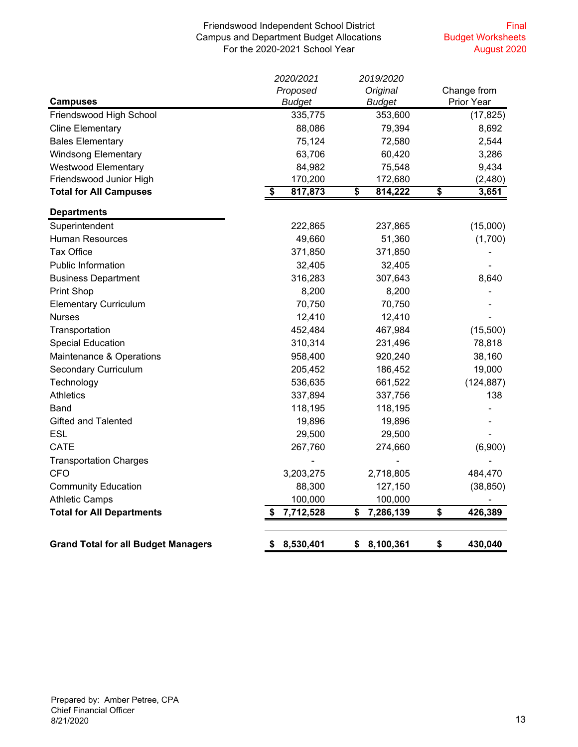#### Friendswood Independent School District Campus and Department Budget Allocations For the 2020-2021 School Year

Final Budget Worksheets August 2020

|                                            | 2020/2021      | 2019/2020       |                 |             |
|--------------------------------------------|----------------|-----------------|-----------------|-------------|
|                                            | Proposed       | Original        |                 | Change from |
| <b>Campuses</b>                            | <b>Budget</b>  | <b>Budget</b>   | Prior Year      |             |
| Friendswood High School                    | 335,775        | 353,600         |                 | (17, 825)   |
| <b>Cline Elementary</b>                    | 88,086         | 79,394          |                 | 8,692       |
| <b>Bales Elementary</b>                    | 75,124         | 72,580          |                 | 2,544       |
| <b>Windsong Elementary</b>                 | 63,706         | 60,420          |                 | 3,286       |
| <b>Westwood Elementary</b>                 | 84,982         | 75,548          |                 | 9,434       |
| Friendswood Junior High                    | 170,200        | 172,680         |                 | (2,480)     |
| <b>Total for All Campuses</b>              | 817,873<br>\$  | \$<br>814,222   | $\overline{\$}$ | 3,651       |
| <b>Departments</b>                         |                |                 |                 |             |
| Superintendent                             | 222,865        | 237,865         |                 | (15,000)    |
| <b>Human Resources</b>                     | 49,660         | 51,360          |                 | (1,700)     |
| <b>Tax Office</b>                          | 371,850        | 371,850         |                 |             |
| <b>Public Information</b>                  | 32,405         | 32,405          |                 |             |
| <b>Business Department</b>                 | 316,283        | 307,643         |                 | 8,640       |
| <b>Print Shop</b>                          | 8,200          | 8,200           |                 |             |
| <b>Elementary Curriculum</b>               | 70,750         | 70,750          |                 |             |
| <b>Nurses</b>                              | 12,410         | 12,410          |                 |             |
| Transportation                             | 452,484        | 467,984         |                 | (15,500)    |
| <b>Special Education</b>                   | 310,314        | 231,496         |                 | 78,818      |
| Maintenance & Operations                   | 958,400        | 920,240         |                 | 38,160      |
| <b>Secondary Curriculum</b>                | 205,452        | 186,452         |                 | 19,000      |
| Technology                                 | 536,635        | 661,522         |                 | (124, 887)  |
| <b>Athletics</b>                           | 337,894        | 337,756         |                 | 138         |
| Band                                       | 118,195        | 118,195         |                 |             |
| <b>Gifted and Talented</b>                 | 19,896         | 19,896          |                 |             |
| ESL                                        | 29,500         | 29,500          |                 |             |
| <b>CATE</b>                                | 267,760        | 274,660         |                 | (6,900)     |
| <b>Transportation Charges</b>              |                |                 |                 |             |
| <b>CFO</b>                                 | 3,203,275      | 2,718,805       |                 | 484,470     |
| <b>Community Education</b>                 | 88,300         | 127,150         |                 | (38, 850)   |
| <b>Athletic Camps</b>                      | 100,000        | 100,000         |                 |             |
| <b>Total for All Departments</b>           | 7,712,528      | 7,286,139<br>\$ | \$              | 426,389     |
|                                            |                |                 |                 |             |
| <b>Grand Total for all Budget Managers</b> | 8,530,401<br>S | 8,100,361<br>\$ | \$              | 430,040     |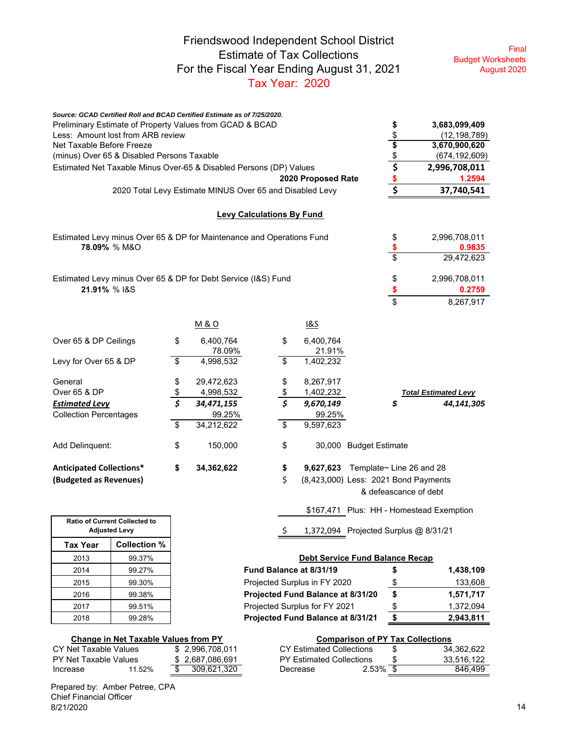### Friendswood Independent School District Estimate of Tax Collections For the Fiscal Year Ending August 31, 2021 Tax Year: 2020

Final Budget Worksheets August 2020

|                                                       |                     | Source: GCAD Certified Roll and BCAD Certified Estimate as of 7/25/2020. |                          |                    |                                          |                             |
|-------------------------------------------------------|---------------------|--------------------------------------------------------------------------|--------------------------|--------------------|------------------------------------------|-----------------------------|
|                                                       |                     | Preliminary Estimate of Property Values from GCAD & BCAD                 |                          |                    | \$                                       | 3,683,099,409               |
| Less: Amount lost from ARB review                     | \$                  | (12, 198, 789)                                                           |                          |                    |                                          |                             |
| Net Taxable Before Freeze                             |                     |                                                                          |                          |                    | \$                                       | 3,670,900,620               |
| (minus) Over 65 & Disabled Persons Taxable            |                     |                                                                          |                          |                    |                                          | (674, 192, 609)             |
|                                                       |                     | Estimated Net Taxable Minus Over-65 & Disabled Persons (DP) Values       |                          |                    | $rac{1}{2}$<br>$rac{1}{2}$               | 2,996,708,011               |
|                                                       |                     |                                                                          |                          | 2020 Proposed Rate |                                          | 1.2594                      |
|                                                       |                     | 2020 Total Levy Estimate MINUS Over 65 and Disabled Levy                 |                          |                    |                                          | 37,740,541                  |
|                                                       |                     | <b>Levy Calculations By Fund</b>                                         |                          |                    |                                          |                             |
|                                                       |                     | Estimated Levy minus Over 65 & DP for Maintenance and Operations Fund    |                          |                    | \$                                       | 2,996,708,011               |
| 78.09% % M&O                                          |                     |                                                                          |                          |                    | \$                                       | 0.9835                      |
|                                                       |                     |                                                                          |                          |                    | \$                                       | 29,472,623                  |
|                                                       |                     | Estimated Levy minus Over 65 & DP for Debt Service (I&S) Fund            |                          |                    | \$                                       | 2,996,708,011               |
| 21.91% % I&S                                          |                     |                                                                          |                          |                    | \$                                       | 0.2759                      |
|                                                       |                     |                                                                          |                          |                    | \$                                       | 8,267,917                   |
|                                                       |                     | <b>M&amp;O</b>                                                           |                          | <u>1&amp;S</u>     |                                          |                             |
| Over 65 & DP Ceilings                                 |                     | \$<br>6,400,764                                                          | \$                       | 6,400,764          |                                          |                             |
|                                                       |                     | 78.09%                                                                   |                          | 21.91%             |                                          |                             |
| Levy for Over 65 & DP                                 |                     | \$<br>4,998,532                                                          | \$                       | 1,402,232          |                                          |                             |
| General                                               |                     | \$<br>29,472,623                                                         | \$                       | 8,267,917          |                                          |                             |
| Over 65 & DP                                          |                     | \$<br>4,998,532                                                          | \$                       | 1,402,232          |                                          | <b>Total Estimated Levy</b> |
| <b>Estimated Levy</b>                                 |                     | 34,471,155                                                               | $\overline{\mathcal{S}}$ | 9,670,149          | \$                                       | 44,141,305                  |
| <b>Collection Percentages</b>                         |                     | 99.25%                                                                   |                          | 99.25%             |                                          |                             |
|                                                       |                     | \$<br>34,212,622                                                         | \$                       | 9,597,623          |                                          |                             |
| Add Delinquent:                                       |                     | \$<br>150,000                                                            | \$                       |                    | 30,000 Budget Estimate                   |                             |
| <b>Anticipated Collections*</b>                       |                     | \$<br>34,362,622                                                         | \$                       |                    | 9,627,623 Template~ Line 26 and 28       |                             |
| (Budgeted as Revenues)                                |                     |                                                                          | \$                       |                    | (8,423,000) Less: 2021 Bond Payments     |                             |
|                                                       |                     |                                                                          |                          |                    | & defeascance of debt                    |                             |
|                                                       |                     |                                                                          |                          |                    | \$167,471 Plus: HH - Homestead Exemption |                             |
| Ratio of Current Collected to<br><b>Adjusted Levy</b> |                     |                                                                          | \$                       |                    | 1,372,094 Projected Surplus @ 8/31/21    |                             |
| <b>Tax Year</b>                                       | <b>Collection %</b> |                                                                          |                          |                    |                                          |                             |

| <b>Debt Service Fund Balance Recap</b> |
|----------------------------------------|
|----------------------------------------|

| 2014 | 99.27% | Fund Balance at 8/31/19           |   | 1.438.109 |
|------|--------|-----------------------------------|---|-----------|
| 2015 | 99.30% | Projected Surplus in FY 2020      |   | 133,608   |
| 2016 | 99.38% | Projected Fund Balance at 8/31/20 | S | 1.571.717 |
| 2017 | 99.51% | Projected Surplus for FY 2021     |   | 1.372.094 |
| 2018 | 99.28% | Projected Fund Balance at 8/31/21 |   | 2.943.811 |

 $CY$  Estimated Collections  $$34,362,622$ PY Estimated Collections  $\frac{\$}{\$}$  33,516,122<br>Decrease 2.53%  $\frac{\$}{\$}$  846,499

#### **Change in Net Taxable Values from PY Comparison of PY Tax Collections**

| CY Net Taxable Values |        | \$2.996.708.011 | CY Estimated Collections        |             | 34.362.622 |
|-----------------------|--------|-----------------|---------------------------------|-------------|------------|
| PY Net Taxable Values |        | \$2.687.086.691 | <b>PY Estimated Collections</b> |             | 33.516.122 |
| Increase              | 11.52% | \$ 309.621.320  | Decrease                        | $2.53\%$ \$ | 846.499    |

Prepared by: Amber Petree, CPA Chief Financial Officer 8/21/2020 14

2013 99.37%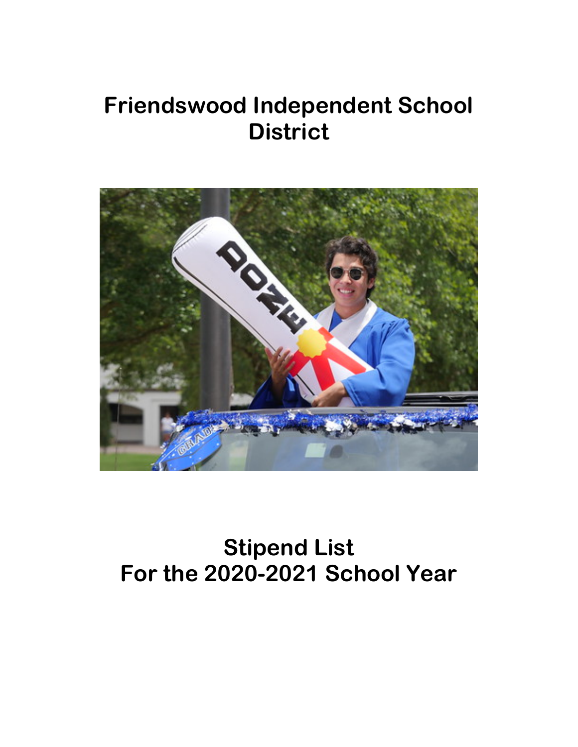## **Friendswood Independent School District**



# **Stipend List For the 2020-2021 School Year**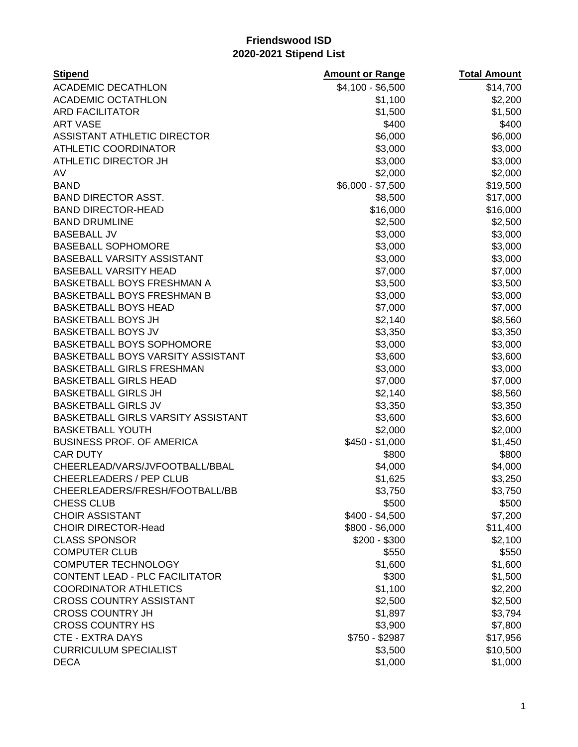| <b>Stipend</b>                        | <b>Amount or Range</b> | <b>Total Amount</b> |
|---------------------------------------|------------------------|---------------------|
| <b>ACADEMIC DECATHLON</b>             | \$4,100 - \$6,500      | \$14,700            |
| <b>ACADEMIC OCTATHLON</b>             | \$1,100                | \$2,200             |
| <b>ARD FACILITATOR</b>                | \$1,500                | \$1,500             |
| <b>ART VASE</b>                       | \$400                  | \$400               |
| ASSISTANT ATHLETIC DIRECTOR           | \$6,000                | \$6,000             |
| <b>ATHLETIC COORDINATOR</b>           | \$3,000                | \$3,000             |
| ATHLETIC DIRECTOR JH                  | \$3,000                | \$3,000             |
| AV                                    | \$2,000                | \$2,000             |
| <b>BAND</b>                           | $$6,000 - $7,500$      | \$19,500            |
| <b>BAND DIRECTOR ASST.</b>            | \$8,500                | \$17,000            |
| <b>BAND DIRECTOR-HEAD</b>             | \$16,000               | \$16,000            |
| <b>BAND DRUMLINE</b>                  | \$2,500                | \$2,500             |
| <b>BASEBALL JV</b>                    | \$3,000                | \$3,000             |
| <b>BASEBALL SOPHOMORE</b>             | \$3,000                | \$3,000             |
| BASEBALL VARSITY ASSISTANT            | \$3,000                | \$3,000             |
| <b>BASEBALL VARSITY HEAD</b>          | \$7,000                | \$7,000             |
| <b>BASKETBALL BOYS FRESHMAN A</b>     | \$3,500                | \$3,500             |
| <b>BASKETBALL BOYS FRESHMAN B</b>     | \$3,000                | \$3,000             |
| <b>BASKETBALL BOYS HEAD</b>           | \$7,000                | \$7,000             |
| <b>BASKETBALL BOYS JH</b>             | \$2,140                | \$8,560             |
| <b>BASKETBALL BOYS JV</b>             | \$3,350                | \$3,350             |
| <b>BASKETBALL BOYS SOPHOMORE</b>      | \$3,000                | \$3,000             |
| BASKETBALL BOYS VARSITY ASSISTANT     | \$3,600                | \$3,600             |
| <b>BASKETBALL GIRLS FRESHMAN</b>      | \$3,000                | \$3,000             |
| <b>BASKETBALL GIRLS HEAD</b>          | \$7,000                | \$7,000             |
| <b>BASKETBALL GIRLS JH</b>            | \$2,140                | \$8,560             |
| <b>BASKETBALL GIRLS JV</b>            | \$3,350                | \$3,350             |
| BASKETBALL GIRLS VARSITY ASSISTANT    | \$3,600                | \$3,600             |
| <b>BASKETBALL YOUTH</b>               | \$2,000                | \$2,000             |
| <b>BUSINESS PROF. OF AMERICA</b>      | $$450 - $1,000$        | \$1,450             |
| <b>CAR DUTY</b>                       | \$800                  | \$800               |
| CHEERLEAD/VARS/JVFOOTBALL/BBAL        | \$4,000                | \$4,000             |
| <b>CHEERLEADERS / PEP CLUB</b>        | \$1,625                | \$3,250             |
| CHEERLEADERS/FRESH/FOOTBALL/BB        | \$3,750                | \$3,750             |
| <b>CHESS CLUB</b>                     | \$500                  | \$500               |
| <b>CHOIR ASSISTANT</b>                | $$400 - $4,500$        | \$7,200             |
| <b>CHOIR DIRECTOR-Head</b>            | \$800 - \$6,000        | \$11,400            |
| <b>CLASS SPONSOR</b>                  | $$200 - $300$          | \$2,100             |
| <b>COMPUTER CLUB</b>                  | \$550                  | \$550               |
| <b>COMPUTER TECHNOLOGY</b>            | \$1,600                | \$1,600             |
| <b>CONTENT LEAD - PLC FACILITATOR</b> | \$300                  | \$1,500             |
| <b>COORDINATOR ATHLETICS</b>          | \$1,100                | \$2,200             |
| <b>CROSS COUNTRY ASSISTANT</b>        | \$2,500                | \$2,500             |
| <b>CROSS COUNTRY JH</b>               | \$1,897                | \$3,794             |
| <b>CROSS COUNTRY HS</b>               | \$3,900                | \$7,800             |
| <b>CTE - EXTRA DAYS</b>               | \$750 - \$2987         | \$17,956            |
| <b>CURRICULUM SPECIALIST</b>          | \$3,500                | \$10,500            |
| <b>DECA</b>                           | \$1,000                | \$1,000             |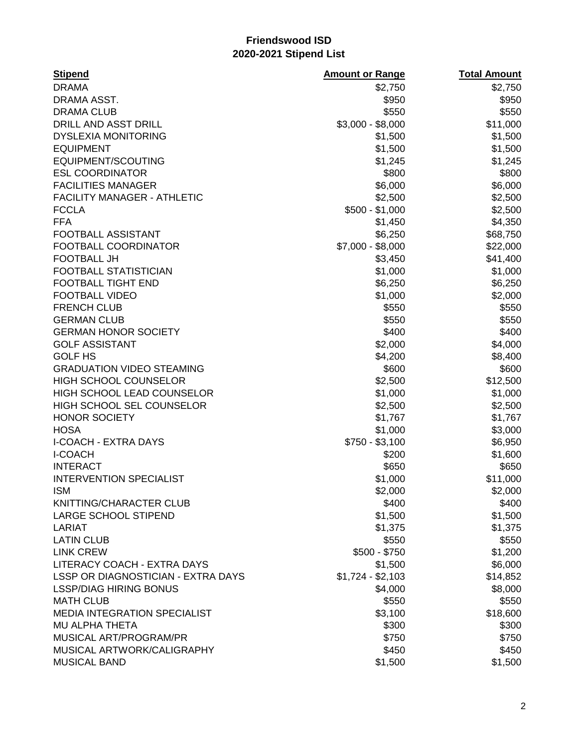| <b>Stipend</b>                                | <b>Amount or Range</b>   | <b>Total Amount</b> |
|-----------------------------------------------|--------------------------|---------------------|
| <b>DRAMA</b>                                  | \$2,750                  | \$2,750             |
| DRAMA ASST.                                   | \$950                    | \$950               |
| <b>DRAMA CLUB</b>                             | \$550                    | \$550               |
| DRILL AND ASST DRILL                          | $$3,000 - $8,000$        | \$11,000            |
| <b>DYSLEXIA MONITORING</b>                    | \$1,500                  | \$1,500             |
| <b>EQUIPMENT</b>                              | \$1,500                  | \$1,500             |
| EQUIPMENT/SCOUTING                            | \$1,245                  | \$1,245             |
| <b>ESL COORDINATOR</b>                        | \$800                    | \$800               |
| <b>FACILITIES MANAGER</b>                     | \$6,000                  | \$6,000             |
| <b>FACILITY MANAGER - ATHLETIC</b>            | \$2,500                  | \$2,500             |
| <b>FCCLA</b>                                  | $$500 - $1,000$          | \$2,500             |
| <b>FFA</b>                                    | \$1,450                  | \$4,350             |
| FOOTBALL ASSISTANT                            | \$6,250                  | \$68,750            |
| FOOTBALL COORDINATOR                          | $$7,000 - $8,000$        | \$22,000            |
| <b>FOOTBALL JH</b>                            | \$3,450                  | \$41,400            |
| <b>FOOTBALL STATISTICIAN</b>                  | \$1,000                  | \$1,000             |
| <b>FOOTBALL TIGHT END</b>                     | \$6,250                  | \$6,250             |
| <b>FOOTBALL VIDEO</b>                         | \$1,000                  | \$2,000             |
| <b>FRENCH CLUB</b>                            | \$550                    | \$550               |
| <b>GERMAN CLUB</b>                            | \$550                    | \$550               |
| <b>GERMAN HONOR SOCIETY</b>                   | \$400                    | \$400               |
| <b>GOLF ASSISTANT</b>                         | \$2,000                  | \$4,000             |
| <b>GOLF HS</b>                                | \$4,200                  | \$8,400             |
| <b>GRADUATION VIDEO STEAMING</b>              | \$600                    | \$600               |
| HIGH SCHOOL COUNSELOR                         | \$2,500                  | \$12,500            |
| HIGH SCHOOL LEAD COUNSELOR                    | \$1,000                  | \$1,000             |
| HIGH SCHOOL SEL COUNSELOR                     | \$2,500                  | \$2,500             |
| <b>HONOR SOCIETY</b>                          | \$1,767                  | \$1,767             |
| <b>HOSA</b>                                   | \$1,000                  | \$3,000             |
| <b>I-COACH - EXTRA DAYS</b><br><b>I-COACH</b> | $$750 - $3,100$<br>\$200 | \$6,950<br>\$1,600  |
| <b>INTERACT</b>                               | \$650                    | \$650               |
| <b>INTERVENTION SPECIALIST</b>                | \$1,000                  | \$11,000            |
| <b>ISM</b>                                    | \$2,000                  | \$2,000             |
| KNITTING/CHARACTER CLUB                       | \$400                    | \$400               |
| <b>LARGE SCHOOL STIPEND</b>                   | \$1,500                  | \$1,500             |
| LARIAT                                        | \$1,375                  | \$1,375             |
| <b>LATIN CLUB</b>                             | \$550                    | \$550               |
| <b>LINK CREW</b>                              | $$500 - $750$            | \$1,200             |
| LITERACY COACH - EXTRA DAYS                   | \$1,500                  | \$6,000             |
| LSSP OR DIAGNOSTICIAN - EXTRA DAYS            | $$1,724 - $2,103$        | \$14,852            |
| <b>LSSP/DIAG HIRING BONUS</b>                 | \$4,000                  | \$8,000             |
| <b>MATH CLUB</b>                              | \$550                    | \$550               |
| <b>MEDIA INTEGRATION SPECIALIST</b>           | \$3,100                  | \$18,600            |
| <b>MU ALPHA THETA</b>                         | \$300                    | \$300               |
| MUSICAL ART/PROGRAM/PR                        | \$750                    | \$750               |
| MUSICAL ARTWORK/CALIGRAPHY                    | \$450                    | \$450               |
| <b>MUSICAL BAND</b>                           | \$1,500                  | \$1,500             |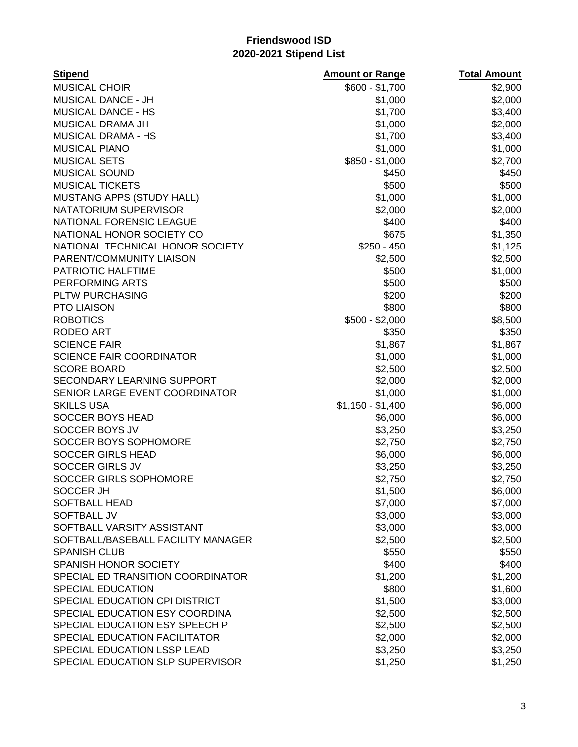| <b>Stipend</b>                     | <b>Amount or Range</b> | <b>Total Amount</b> |
|------------------------------------|------------------------|---------------------|
| <b>MUSICAL CHOIR</b>               | $$600 - $1,700$        | \$2,900             |
| <b>MUSICAL DANCE - JH</b>          | \$1,000                | \$2,000             |
| <b>MUSICAL DANCE - HS</b>          | \$1,700                | \$3,400             |
| <b>MUSICAL DRAMA JH</b>            | \$1,000                | \$2,000             |
| <b>MUSICAL DRAMA - HS</b>          | \$1,700                | \$3,400             |
| <b>MUSICAL PIANO</b>               | \$1,000                | \$1,000             |
| <b>MUSICAL SETS</b>                | $$850 - $1,000$        | \$2,700             |
| <b>MUSICAL SOUND</b>               | \$450                  | \$450               |
| <b>MUSICAL TICKETS</b>             | \$500                  | \$500               |
| MUSTANG APPS (STUDY HALL)          | \$1,000                | \$1,000             |
| NATATORIUM SUPERVISOR              | \$2,000                | \$2,000             |
| NATIONAL FORENSIC LEAGUE           | \$400                  | \$400               |
| NATIONAL HONOR SOCIETY CO          | \$675                  | \$1,350             |
| NATIONAL TECHNICAL HONOR SOCIETY   | $$250 - 450$           | \$1,125             |
| PARENT/COMMUNITY LIAISON           | \$2,500                | \$2,500             |
| PATRIOTIC HALFTIME                 | \$500                  | \$1,000             |
| PERFORMING ARTS                    | \$500                  | \$500               |
| PLTW PURCHASING                    | \$200                  | \$200               |
| <b>PTO LIAISON</b>                 | \$800                  | \$800               |
| <b>ROBOTICS</b>                    | $$500 - $2,000$        | \$8,500             |
| <b>RODEO ART</b>                   | \$350                  | \$350               |
| <b>SCIENCE FAIR</b>                | \$1,867                | \$1,867             |
| <b>SCIENCE FAIR COORDINATOR</b>    | \$1,000                | \$1,000             |
| <b>SCORE BOARD</b>                 | \$2,500                | \$2,500             |
| <b>SECONDARY LEARNING SUPPORT</b>  | \$2,000                | \$2,000             |
| SENIOR LARGE EVENT COORDINATOR     | \$1,000                | \$1,000             |
| <b>SKILLS USA</b>                  | $$1,150 - $1,400$      | \$6,000             |
| SOCCER BOYS HEAD                   | \$6,000                | \$6,000             |
| SOCCER BOYS JV                     | \$3,250                | \$3,250             |
| SOCCER BOYS SOPHOMORE              | \$2,750                | \$2,750             |
| <b>SOCCER GIRLS HEAD</b>           | \$6,000                | \$6,000             |
| <b>SOCCER GIRLS JV</b>             | \$3,250                | \$3,250             |
| SOCCER GIRLS SOPHOMORE             | \$2,750                | \$2,750             |
| SOCCER JH                          | \$1,500                | \$6,000             |
| <b>SOFTBALL HEAD</b>               | \$7,000                | \$7,000             |
| <b>SOFTBALL JV</b>                 | \$3,000                | \$3,000             |
| SOFTBALL VARSITY ASSISTANT         | \$3,000                | \$3,000             |
| SOFTBALL/BASEBALL FACILITY MANAGER | \$2,500                | \$2,500             |
| <b>SPANISH CLUB</b>                | \$550                  | \$550               |
| SPANISH HONOR SOCIETY              | \$400                  | \$400               |
| SPECIAL ED TRANSITION COORDINATOR  | \$1,200                | \$1,200             |
| <b>SPECIAL EDUCATION</b>           | \$800                  | \$1,600             |
| SPECIAL EDUCATION CPI DISTRICT     | \$1,500                | \$3,000             |
| SPECIAL EDUCATION ESY COORDINA     | \$2,500                | \$2,500             |
| SPECIAL EDUCATION ESY SPEECH P     | \$2,500                | \$2,500             |
| SPECIAL EDUCATION FACILITATOR      | \$2,000                | \$2,000             |
| SPECIAL EDUCATION LSSP LEAD        | \$3,250                | \$3,250             |
| SPECIAL EDUCATION SLP SUPERVISOR   | \$1,250                | \$1,250             |